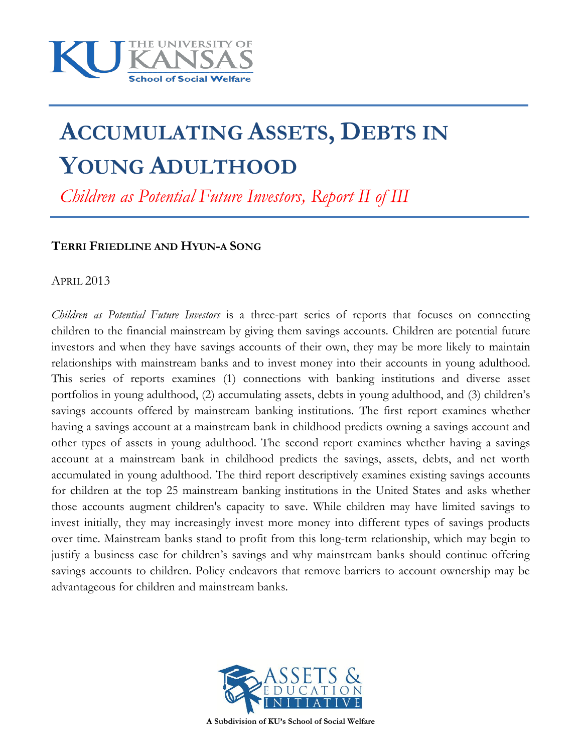

# **ACCUMULATING ASSETS, DEBTS IN YOUNG ADULTHOOD**

*Children as Potential Future Investors, Report II of III*

#### **TERRI FRIEDLINE AND HYUN-A SONG**

APRIL 2013

*Children as Potential Future Investors* is a three-part series of reports that focuses on connecting children to the financial mainstream by giving them savings accounts. Children are potential future investors and when they have savings accounts of their own, they may be more likely to maintain relationships with mainstream banks and to invest money into their accounts in young adulthood. This series of reports examines (1) connections with banking institutions and diverse asset portfolios in young adulthood, (2) accumulating assets, debts in young adulthood, and (3) children's savings accounts offered by mainstream banking institutions. The first report examines whether having a savings account at a mainstream bank in childhood predicts owning a savings account and other types of assets in young adulthood. The second report examines whether having a savings account at a mainstream bank in childhood predicts the savings, assets, debts, and net worth accumulated in young adulthood. The third report descriptively examines existing savings accounts for children at the top 25 mainstream banking institutions in the United States and asks whether those accounts augment children's capacity to save. While children may have limited savings to invest initially, they may increasingly invest more money into different types of savings products over time. Mainstream banks stand to profit from this long-term relationship, which may begin to justify a business case for children's savings and why mainstream banks should continue offering savings accounts to children. Policy endeavors that remove barriers to account ownership may be advantageous for children and mainstream banks.



**A Subdivision of KU's School of Social Welfare**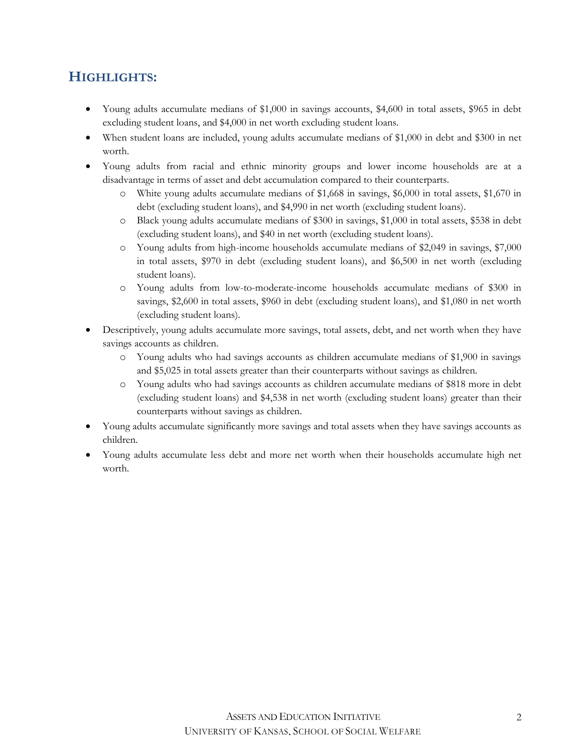# **HIGHLIGHTS:**

- Young adults accumulate medians of \$1,000 in savings accounts, \$4,600 in total assets, \$965 in debt excluding student loans, and \$4,000 in net worth excluding student loans.
- When student loans are included, young adults accumulate medians of \$1,000 in debt and \$300 in net worth.
- Young adults from racial and ethnic minority groups and lower income households are at a disadvantage in terms of asset and debt accumulation compared to their counterparts.
	- o White young adults accumulate medians of \$1,668 in savings, \$6,000 in total assets, \$1,670 in debt (excluding student loans), and \$4,990 in net worth (excluding student loans).
	- o Black young adults accumulate medians of \$300 in savings, \$1,000 in total assets, \$538 in debt (excluding student loans), and \$40 in net worth (excluding student loans).
	- o Young adults from high-income households accumulate medians of \$2,049 in savings, \$7,000 in total assets, \$970 in debt (excluding student loans), and \$6,500 in net worth (excluding student loans).
	- o Young adults from low-to-moderate-income households accumulate medians of \$300 in savings, \$2,600 in total assets, \$960 in debt (excluding student loans), and \$1,080 in net worth (excluding student loans).
- Descriptively, young adults accumulate more savings, total assets, debt, and net worth when they have savings accounts as children.
	- o Young adults who had savings accounts as children accumulate medians of \$1,900 in savings and \$5,025 in total assets greater than their counterparts without savings as children.
	- o Young adults who had savings accounts as children accumulate medians of \$818 more in debt (excluding student loans) and \$4,538 in net worth (excluding student loans) greater than their counterparts without savings as children.
- Young adults accumulate significantly more savings and total assets when they have savings accounts as children.
- Young adults accumulate less debt and more net worth when their households accumulate high net worth.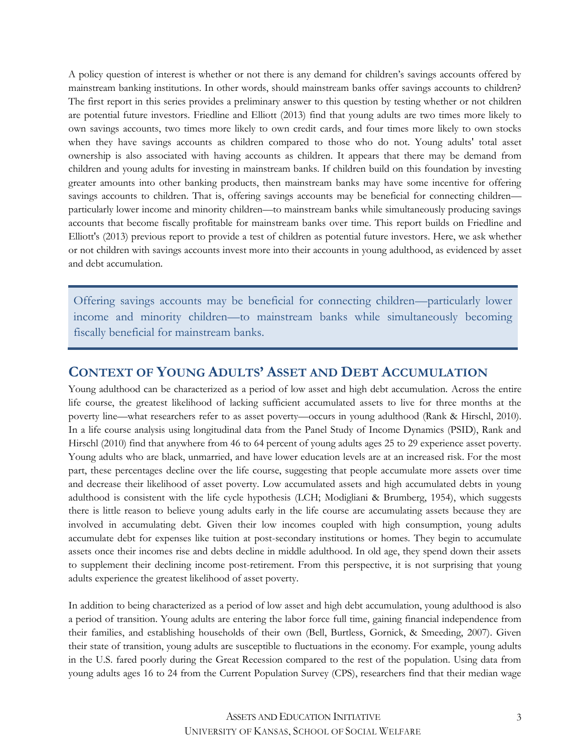A policy question of interest is whether or not there is any demand for children's savings accounts offered by mainstream banking institutions. In other words, should mainstream banks offer savings accounts to children? The first report in this series provides a preliminary answer to this question by testing whether or not children are potential future investors. Friedline and Elliott (2013) find that young adults are two times more likely to own savings accounts, two times more likely to own credit cards, and four times more likely to own stocks when they have savings accounts as children compared to those who do not. Young adults' total asset ownership is also associated with having accounts as children. It appears that there may be demand from children and young adults for investing in mainstream banks. If children build on this foundation by investing greater amounts into other banking products, then mainstream banks may have some incentive for offering savings accounts to children. That is, offering savings accounts may be beneficial for connecting children particularly lower income and minority children—to mainstream banks while simultaneously producing savings accounts that become fiscally profitable for mainstream banks over time. This report builds on Friedline and Elliott's (2013) previous report to provide a test of children as potential future investors. Here, we ask whether or not children with savings accounts invest more into their accounts in young adulthood, as evidenced by asset and debt accumulation.

Offering savings accounts may be beneficial for connecting children—particularly lower income and minority children—to mainstream banks while simultaneously becoming fiscally beneficial for mainstream banks.

### **CONTEXT OF YOUNG ADULTS' ASSET AND DEBT ACCUMULATION**

Young adulthood can be characterized as a period of low asset and high debt accumulation. Across the entire life course, the greatest likelihood of lacking sufficient accumulated assets to live for three months at the poverty line—what researchers refer to as asset poverty—occurs in young adulthood (Rank & Hirschl, 2010). In a life course analysis using longitudinal data from the Panel Study of Income Dynamics (PSID), Rank and Hirschl (2010) find that anywhere from 46 to 64 percent of young adults ages 25 to 29 experience asset poverty. Young adults who are black, unmarried, and have lower education levels are at an increased risk. For the most part, these percentages decline over the life course, suggesting that people accumulate more assets over time and decrease their likelihood of asset poverty. Low accumulated assets and high accumulated debts in young adulthood is consistent with the life cycle hypothesis (LCH; Modigliani & Brumberg, 1954), which suggests there is little reason to believe young adults early in the life course are accumulating assets because they are involved in accumulating debt. Given their low incomes coupled with high consumption, young adults accumulate debt for expenses like tuition at post-secondary institutions or homes. They begin to accumulate assets once their incomes rise and debts decline in middle adulthood. In old age, they spend down their assets to supplement their declining income post-retirement. From this perspective, it is not surprising that young adults experience the greatest likelihood of asset poverty.

In addition to being characterized as a period of low asset and high debt accumulation, young adulthood is also a period of transition. Young adults are entering the labor force full time, gaining financial independence from their families, and establishing households of their own (Bell, Burtless, Gornick, & Smeeding, 2007). Given their state of transition, young adults are susceptible to fluctuations in the economy. For example, young adults in the U.S. fared poorly during the Great Recession compared to the rest of the population. Using data from young adults ages 16 to 24 from the Current Population Survey (CPS), researchers find that their median wage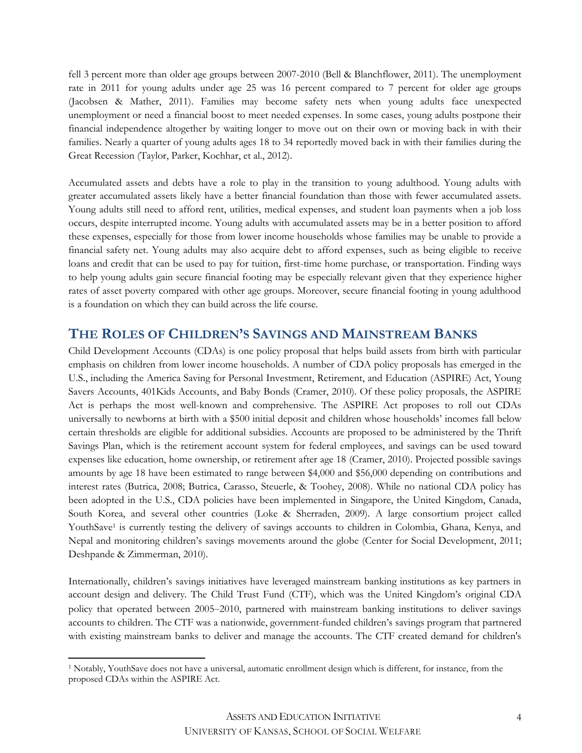fell 3 percent more than older age groups between 2007-2010 (Bell & Blanchflower, 2011). The unemployment rate in 2011 for young adults under age 25 was 16 percent compared to 7 percent for older age groups (Jacobsen & Mather, 2011). Families may become safety nets when young adults face unexpected unemployment or need a financial boost to meet needed expenses. In some cases, young adults postpone their financial independence altogether by waiting longer to move out on their own or moving back in with their families. Nearly a quarter of young adults ages 18 to 34 reportedly moved back in with their families during the Great Recession (Taylor, Parker, Kochhar, et al., 2012).

Accumulated assets and debts have a role to play in the transition to young adulthood. Young adults with greater accumulated assets likely have a better financial foundation than those with fewer accumulated assets. Young adults still need to afford rent, utilities, medical expenses, and student loan payments when a job loss occurs, despite interrupted income. Young adults with accumulated assets may be in a better position to afford these expenses, especially for those from lower income households whose families may be unable to provide a financial safety net. Young adults may also acquire debt to afford expenses, such as being eligible to receive loans and credit that can be used to pay for tuition, first-time home purchase, or transportation. Finding ways to help young adults gain secure financial footing may be especially relevant given that they experience higher rates of asset poverty compared with other age groups. Moreover, secure financial footing in young adulthood is a foundation on which they can build across the life course.

#### **THE ROLES OF CHILDREN'S SAVINGS AND MAINSTREAM BANKS**

Child Development Accounts (CDAs) is one policy proposal that helps build assets from birth with particular emphasis on children from lower income households. A number of CDA policy proposals has emerged in the U.S., including the America Saving for Personal Investment, Retirement, and Education (ASPIRE) Act, Young Savers Accounts, 401Kids Accounts, and Baby Bonds (Cramer, 2010). Of these policy proposals, the ASPIRE Act is perhaps the most well-known and comprehensive. The ASPIRE Act proposes to roll out CDAs universally to newborns at birth with a \$500 initial deposit and children whose households' incomes fall below certain thresholds are eligible for additional subsidies. Accounts are proposed to be administered by the Thrift Savings Plan, which is the retirement account system for federal employees, and savings can be used toward expenses like education, home ownership, or retirement after age 18 (Cramer, 2010). Projected possible savings amounts by age 18 have been estimated to range between \$4,000 and \$56,000 depending on contributions and interest rates (Butrica, 2008; Butrica, Carasso, Steuerle, & Toohey, 2008). While no national CDA policy has been adopted in the U.S., CDA policies have been implemented in Singapore, the United Kingdom, Canada, South Korea, and several other countries (Loke & Sherraden, 2009). A large consortium project called YouthSave<sup>1</sup> is currently testing the delivery of savings accounts to children in Colombia, Ghana, Kenya, and Nepal and monitoring children's savings movements around the globe (Center for Social Development, 2011; Deshpande & Zimmerman, 2010).

Internationally, children's savings initiatives have leveraged mainstream banking institutions as key partners in account design and delivery. The Child Trust Fund (CTF), which was the United Kingdom's original CDA policy that operated between 2005–2010, partnered with mainstream banking institutions to deliver savings accounts to children. The CTF was a nationwide, government-funded children's savings program that partnered with existing mainstream banks to deliver and manage the accounts. The CTF created demand for children's

 $\overline{\phantom{a}}$ 

<sup>1</sup> Notably, YouthSave does not have a universal, automatic enrollment design which is different, for instance, from the proposed CDAs within the ASPIRE Act.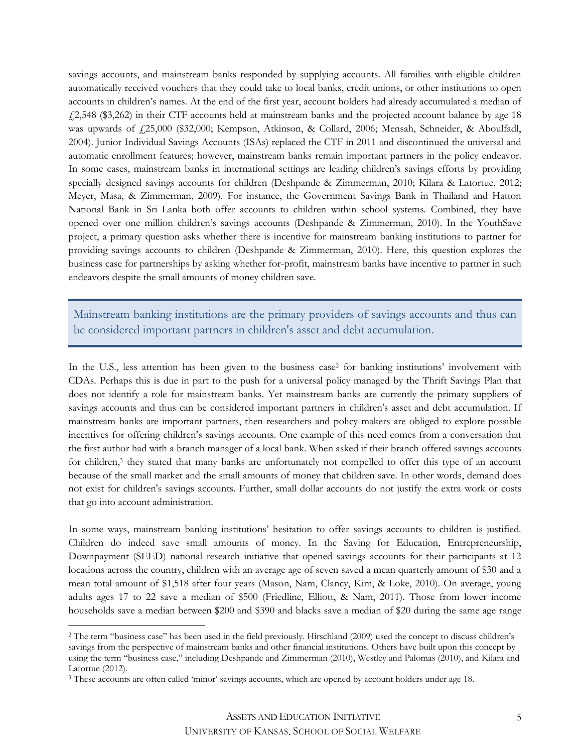savings accounts, and mainstream banks responded by supplying accounts. All families with eligible children automatically received vouchers that they could take to local banks, credit unions, or other institutions to open accounts in children's names. At the end of the first year, account holders had already accumulated a median of £2,548 (\$3,262) in their CTF accounts held at mainstream banks and the projected account balance by age 18 was upwards of £25,000 (\$32,000; Kempson, Atkinson, & Collard, 2006; Mensah, Schneider, & Aboulfadl, 2004). Junior Individual Savings Accounts (ISAs) replaced the CTF in 2011 and discontinued the universal and automatic enrollment features; however, mainstream banks remain important partners in the policy endeavor. In some cases, mainstream banks in international settings are leading children's savings efforts by providing specially designed savings accounts for children (Deshpande & Zimmerman, 2010; Kilara & Latortue, 2012; Meyer, Masa, & Zimmerman, 2009). For instance, the Government Savings Bank in Thailand and Hatton National Bank in Sri Lanka both offer accounts to children within school systems. Combined, they have opened over one million children's savings accounts (Deshpande & Zimmerman, 2010). In the YouthSave project, a primary question asks whether there is incentive for mainstream banking institutions to partner for providing savings accounts to children (Deshpande & Zimmerman, 2010). Here, this question explores the business case for partnerships by asking whether for-profit, mainstream banks have incentive to partner in such endeavors despite the small amounts of money children save.

Mainstream banking institutions are the primary providers of savings accounts and thus can be considered important partners in children's asset and debt accumulation.

In the U.S., less attention has been given to the business case<sup>2</sup> for banking institutions' involvement with CDAs. Perhaps this is due in part to the push for a universal policy managed by the Thrift Savings Plan that does not identify a role for mainstream banks. Yet mainstream banks are currently the primary suppliers of savings accounts and thus can be considered important partners in children's asset and debt accumulation. If mainstream banks are important partners, then researchers and policy makers are obliged to explore possible incentives for offering children's savings accounts. One example of this need comes from a conversation that the first author had with a branch manager of a local bank. When asked if their branch offered savings accounts for children,<sup>3</sup> they stated that many banks are unfortunately not compelled to offer this type of an account because of the small market and the small amounts of money that children save. In other words, demand does not exist for children's savings accounts. Further, small dollar accounts do not justify the extra work or costs that go into account administration.

In some ways, mainstream banking institutions' hesitation to offer savings accounts to children is justified. Children do indeed save small amounts of money. In the Saving for Education, Entrepreneurship, Downpayment (SEED) national research initiative that opened savings accounts for their participants at 12 locations across the country, children with an average age of seven saved a mean quarterly amount of \$30 and a mean total amount of \$1,518 after four years (Mason, Nam, Clancy, Kim, & Loke, 2010). On average, young adults ages 17 to 22 save a median of \$500 (Friedline, Elliott, & Nam, 2011). Those from lower income households save a median between \$200 and \$390 and blacks save a median of \$20 during the same age range

 $\overline{a}$ 

<sup>&</sup>lt;sup>2</sup> The term "business case" has been used in the field previously. Hirschland (2009) used the concept to discuss children's savings from the perspective of mainstream banks and other financial institutions. Others have built upon this concept by using the term "business case," including Deshpande and Zimmerman (2010), Westley and Palomas (2010), and Kilara and Latortue (2012).

<sup>3</sup> These accounts are often called 'minor' savings accounts, which are opened by account holders under age 18.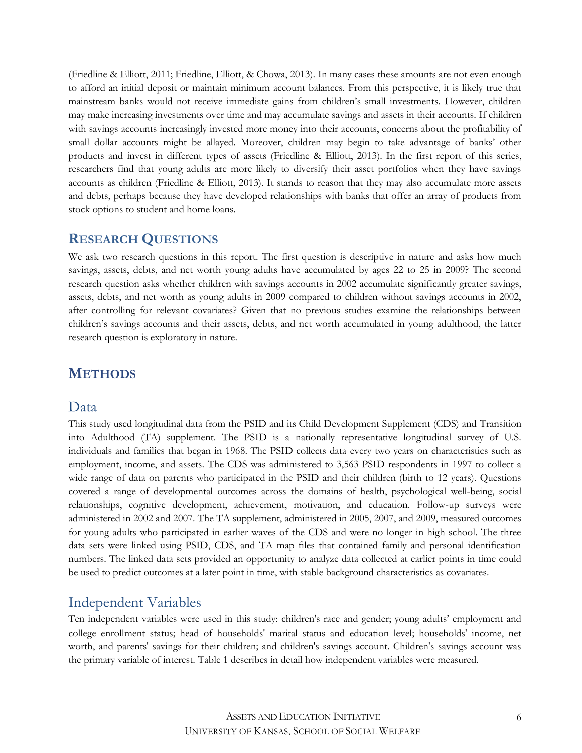(Friedline & Elliott, 2011; Friedline, Elliott, & Chowa, 2013). In many cases these amounts are not even enough to afford an initial deposit or maintain minimum account balances. From this perspective, it is likely true that mainstream banks would not receive immediate gains from children's small investments. However, children may make increasing investments over time and may accumulate savings and assets in their accounts. If children with savings accounts increasingly invested more money into their accounts, concerns about the profitability of small dollar accounts might be allayed. Moreover, children may begin to take advantage of banks' other products and invest in different types of assets (Friedline & Elliott, 2013). In the first report of this series, researchers find that young adults are more likely to diversify their asset portfolios when they have savings accounts as children (Friedline & Elliott, 2013). It stands to reason that they may also accumulate more assets and debts, perhaps because they have developed relationships with banks that offer an array of products from stock options to student and home loans.

#### **RESEARCH QUESTIONS**

We ask two research questions in this report. The first question is descriptive in nature and asks how much savings, assets, debts, and net worth young adults have accumulated by ages 22 to 25 in 2009? The second research question asks whether children with savings accounts in 2002 accumulate significantly greater savings, assets, debts, and net worth as young adults in 2009 compared to children without savings accounts in 2002, after controlling for relevant covariates? Given that no previous studies examine the relationships between children's savings accounts and their assets, debts, and net worth accumulated in young adulthood, the latter research question is exploratory in nature.

## **METHODS**

#### Data

This study used longitudinal data from the PSID and its Child Development Supplement (CDS) and Transition into Adulthood (TA) supplement. The PSID is a nationally representative longitudinal survey of U.S. individuals and families that began in 1968. The PSID collects data every two years on characteristics such as employment, income, and assets. The CDS was administered to 3,563 PSID respondents in 1997 to collect a wide range of data on parents who participated in the PSID and their children (birth to 12 years). Questions covered a range of developmental outcomes across the domains of health, psychological well-being, social relationships, cognitive development, achievement, motivation, and education. Follow-up surveys were administered in 2002 and 2007. The TA supplement, administered in 2005, 2007, and 2009, measured outcomes for young adults who participated in earlier waves of the CDS and were no longer in high school. The three data sets were linked using PSID, CDS, and TA map files that contained family and personal identification numbers. The linked data sets provided an opportunity to analyze data collected at earlier points in time could be used to predict outcomes at a later point in time, with stable background characteristics as covariates.

### Independent Variables

Ten independent variables were used in this study: children's race and gender; young adults' employment and college enrollment status; head of households' marital status and education level; households' income, net worth, and parents' savings for their children; and children's savings account. Children's savings account was the primary variable of interest. Table 1 describes in detail how independent variables were measured.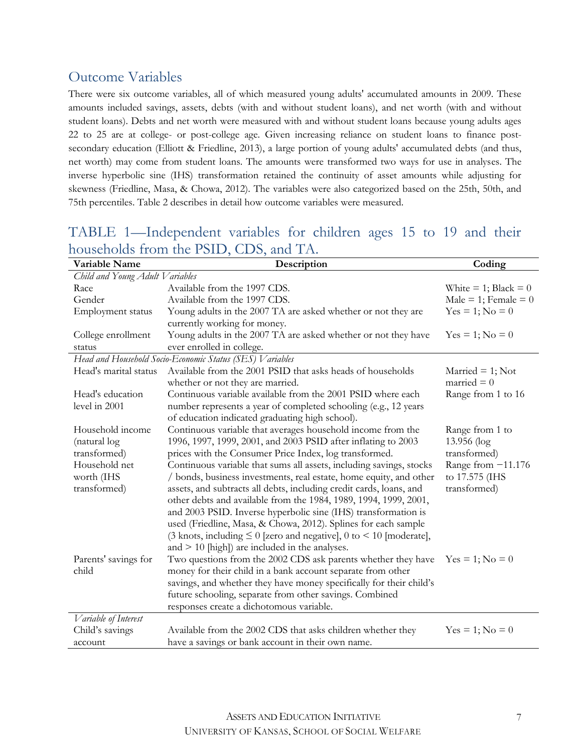## Outcome Variables

There were six outcome variables, all of which measured young adults' accumulated amounts in 2009. These amounts included savings, assets, debts (with and without student loans), and net worth (with and without student loans). Debts and net worth were measured with and without student loans because young adults ages 22 to 25 are at college- or post-college age. Given increasing reliance on student loans to finance postsecondary education (Elliott & Friedline, 2013), a large portion of young adults' accumulated debts (and thus, net worth) may come from student loans. The amounts were transformed two ways for use in analyses. The inverse hyperbolic sine (IHS) transformation retained the continuity of asset amounts while adjusting for skewness (Friedline, Masa, & Chowa, 2012). The variables were also categorized based on the 25th, 50th, and 75th percentiles. Table 2 describes in detail how outcome variables were measured.

## TABLE 1—Independent variables for children ages 15 to 19 and their households from the PSID, CDS, and TA.

| Variable Name                   | Description                                                             | Coding                 |
|---------------------------------|-------------------------------------------------------------------------|------------------------|
| Child and Young Adult Variables |                                                                         |                        |
| Race                            | Available from the 1997 CDS.                                            | White = 1; Black = $0$ |
| Gender                          | Available from the 1997 CDS.                                            | Male = 1; Female = $0$ |
| Employment status               | Young adults in the 2007 TA are asked whether or not they are           | $Yes = 1; No = 0$      |
|                                 | currently working for money.                                            |                        |
| College enrollment              | Young adults in the 2007 TA are asked whether or not they have          | $Yes = 1; No = 0$      |
| status                          | ever enrolled in college.                                               |                        |
|                                 | Head and Household Socio-Economic Status (SES) Variables                |                        |
| Head's marital status           | Available from the 2001 PSID that asks heads of households              | Married $= 1$ ; Not    |
|                                 | whether or not they are married.                                        | $married = 0$          |
| Head's education                | Continuous variable available from the 2001 PSID where each             | Range from 1 to 16     |
| level in 2001                   | number represents a year of completed schooling (e.g., 12 years         |                        |
|                                 | of education indicated graduating high school).                         |                        |
| Household income                | Continuous variable that averages household income from the             | Range from 1 to        |
| (natural log                    | 1996, 1997, 1999, 2001, and 2003 PSID after inflating to 2003           | 13.956 (log            |
| transformed)                    | prices with the Consumer Price Index, log transformed.                  | transformed)           |
| Household net                   | Continuous variable that sums all assets, including savings, stocks     | Range from $-11.176$   |
| worth (IHS                      | / bonds, business investments, real estate, home equity, and other      | to 17.575 (IHS         |
| transformed)                    | assets, and subtracts all debts, including credit cards, loans, and     | transformed)           |
|                                 | other debts and available from the 1984, 1989, 1994, 1999, 2001,        |                        |
|                                 | and 2003 PSID. Inverse hyperbolic sine (IHS) transformation is          |                        |
|                                 | used (Friedline, Masa, & Chowa, 2012). Splines for each sample          |                        |
|                                 | (3 knots, including $\leq$ 0 [zero and negative], 0 to < 10 [moderate], |                        |
|                                 | and $>$ 10 [high]) are included in the analyses.                        |                        |
| Parents' savings for            | Two questions from the 2002 CDS ask parents whether they have           | $Yes = 1; No = 0$      |
| child                           | money for their child in a bank account separate from other             |                        |
|                                 | savings, and whether they have money specifically for their child's     |                        |
|                                 | future schooling, separate from other savings. Combined                 |                        |
|                                 | responses create a dichotomous variable.                                |                        |
| Variable of Interest            |                                                                         |                        |
| Child's savings                 | Available from the 2002 CDS that asks children whether they             | $Yes = 1; No = 0$      |
| account                         | have a savings or bank account in their own name.                       |                        |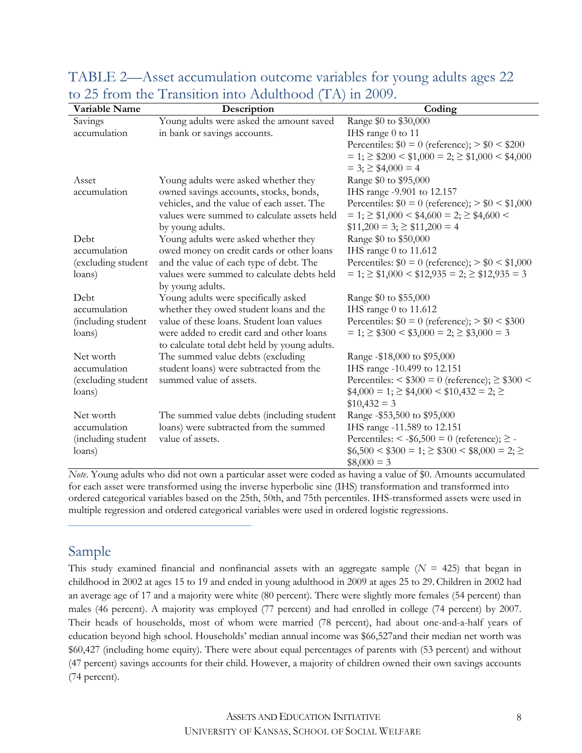| Variable Name      | $\omega$ 25 Hom the Transition file Authenood (171) in 2007.<br>Description | Coding                                                         |
|--------------------|-----------------------------------------------------------------------------|----------------------------------------------------------------|
| Savings            | Young adults were asked the amount saved                                    | Range \$0 to \$30,000                                          |
| accumulation       | in bank or savings accounts.                                                | IHS range 0 to 11                                              |
|                    |                                                                             | Percentiles: $$0 = 0$ (reference); $> $0 < $200$               |
|                    |                                                                             | $= 1$ ; $\geq$ \$200 < \$1,000 = 2; $\geq$ \$1,000 < \$4,000   |
|                    |                                                                             | $= 3$ ; $\geq$ \$4,000 = 4                                     |
| Asset              |                                                                             | Range \$0 to \$95,000                                          |
|                    | Young adults were asked whether they                                        |                                                                |
| accumulation       | owned savings accounts, stocks, bonds,                                      | IHS range -9.901 to 12.157                                     |
|                    | vehicles, and the value of each asset. The                                  | Percentiles: $$0 = 0$ (reference); $> $0 < $1,000$             |
|                    | values were summed to calculate assets held                                 | $= 1$ ; $\geq$ \$1,000 < \$4,600 = 2; $\geq$ \$4,600 <         |
|                    | by young adults.                                                            | $$11,200 = 3$ ; $\geq $11,200 = 4$                             |
| Debt               | Young adults were asked whether they                                        | Range \$0 to \$50,000                                          |
| accumulation       | owed money on credit cards or other loans                                   | IHS range 0 to 11.612                                          |
| (excluding student | and the value of each type of debt. The                                     | Percentiles: $$0 = 0$ (reference); $> $0 < $1,000$             |
| loans)             | values were summed to calculate debts held                                  | $= 1$ ; $\geq$ \$1,000 < \$12,935 = 2; $\geq$ \$12,935 = 3     |
|                    | by young adults.                                                            |                                                                |
| Debt               | Young adults were specifically asked                                        | Range \$0 to \$55,000                                          |
| accumulation       | whether they owed student loans and the                                     | IHS range 0 to 11.612                                          |
| (including student | value of these loans. Student loan values                                   | Percentiles: $$0 = 0$ (reference); $> $0 < $300$               |
| loans)             | were added to credit card and other loans                                   | $= 1$ ; $\geq$ \$300 < \$3,000 = 2; $\geq$ \$3,000 = 3         |
|                    | to calculate total debt held by young adults.                               |                                                                |
| Net worth          | The summed value debts (excluding                                           | Range -\$18,000 to \$95,000                                    |
| accumulation       | student loans) were subtracted from the                                     | IHS range -10.499 to 12.151                                    |
| (excluding student | summed value of assets.                                                     | Percentiles: $\leq$ \$300 = 0 (reference); $\geq$ \$300 $\leq$ |
| loans)             |                                                                             | $$4,000 = 1$ ; $\geq$ \$4,000 < \$10,432 = 2; $\geq$           |
|                    |                                                                             | $$10,432 = 3$                                                  |
| Net worth          | The summed value debts (including student                                   | Range -\$53,500 to \$95,000                                    |
| accumulation       | loans) were subtracted from the summed                                      | IHS range -11.589 to 12.151                                    |
| (including student | value of assets.                                                            | Percentiles: $\le$ -\$6,500 = 0 (reference); $\ge$ -           |
| loans)             |                                                                             | $$6,500 < $300 = 1$ ; $\geq $300 < $8,000 = 2$ ; $\geq$        |
|                    |                                                                             | $$8,000 = 3$                                                   |

TABLE 2—Asset accumulation outcome variables for young adults ages 22 to 25 from the Transition into Adulthood (TA) in 2009.

*Note*. Young adults who did not own a particular asset were coded as having a value of \$0. Amounts accumulated for each asset were transformed using the inverse hyperbolic sine (IHS) transformation and transformed into ordered categorical variables based on the 25th, 50th, and 75th percentiles. IHS-transformed assets were used in multiple regression and ordered categorical variables were used in ordered logistic regressions.

#### Sample

\_\_\_\_\_\_\_\_\_\_\_\_\_\_\_\_\_\_\_\_\_\_\_\_\_\_\_\_\_\_\_\_\_\_\_

This study examined financial and nonfinancial assets with an aggregate sample  $(N = 425)$  that began in childhood in 2002 at ages 15 to 19 and ended in young adulthood in 2009 at ages 25 to 29. Children in 2002 had an average age of 17 and a majority were white (80 percent). There were slightly more females (54 percent) than males (46 percent). A majority was employed (77 percent) and had enrolled in college (74 percent) by 2007. Their heads of households, most of whom were married (78 percent), had about one-and-a-half years of education beyond high school. Households' median annual income was \$66,527and their median net worth was \$60,427 (including home equity). There were about equal percentages of parents with (53 percent) and without (47 percent) savings accounts for their child. However, a majority of children owned their own savings accounts (74 percent).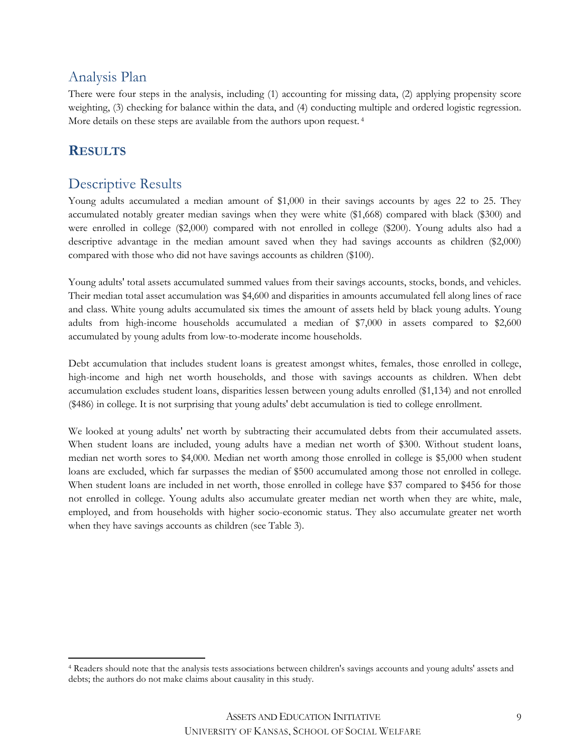### Analysis Plan

There were four steps in the analysis, including (1) accounting for missing data, (2) applying propensity score weighting, (3) checking for balance within the data, and (4) conducting multiple and ordered logistic regression. More details on these steps are available from the authors upon request. <sup>4</sup>

## **RESULTS**

 $\overline{\phantom{a}}$ 

## Descriptive Results

Young adults accumulated a median amount of \$1,000 in their savings accounts by ages 22 to 25. They accumulated notably greater median savings when they were white (\$1,668) compared with black (\$300) and were enrolled in college (\$2,000) compared with not enrolled in college (\$200). Young adults also had a descriptive advantage in the median amount saved when they had savings accounts as children (\$2,000) compared with those who did not have savings accounts as children (\$100).

Young adults' total assets accumulated summed values from their savings accounts, stocks, bonds, and vehicles. Their median total asset accumulation was \$4,600 and disparities in amounts accumulated fell along lines of race and class. White young adults accumulated six times the amount of assets held by black young adults. Young adults from high-income households accumulated a median of \$7,000 in assets compared to \$2,600 accumulated by young adults from low-to-moderate income households.

Debt accumulation that includes student loans is greatest amongst whites, females, those enrolled in college, high-income and high net worth households, and those with savings accounts as children. When debt accumulation excludes student loans, disparities lessen between young adults enrolled (\$1,134) and not enrolled (\$486) in college. It is not surprising that young adults' debt accumulation is tied to college enrollment.

We looked at young adults' net worth by subtracting their accumulated debts from their accumulated assets. When student loans are included, young adults have a median net worth of \$300. Without student loans, median net worth sores to \$4,000. Median net worth among those enrolled in college is \$5,000 when student loans are excluded, which far surpasses the median of \$500 accumulated among those not enrolled in college. When student loans are included in net worth, those enrolled in college have \$37 compared to \$456 for those not enrolled in college. Young adults also accumulate greater median net worth when they are white, male, employed, and from households with higher socio-economic status. They also accumulate greater net worth when they have savings accounts as children (see Table 3).

<sup>4</sup> Readers should note that the analysis tests associations between children's savings accounts and young adults' assets and debts; the authors do not make claims about causality in this study.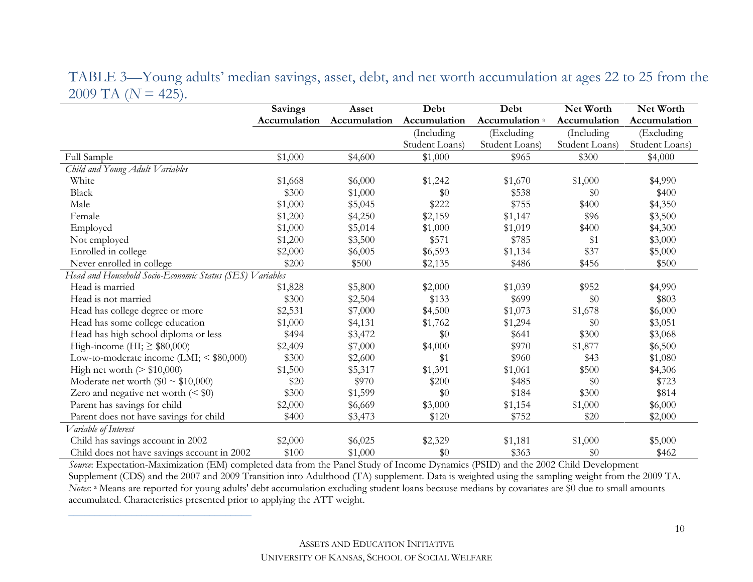## TABLE 3—Young adults' median savings, asset, debt, and net worth accumulation at ages 22 to 25 from the 2009 TA (*N* = 425).

|                                                          | <b>Savings</b> | Asset        | Debt           | Debt                      | Net Worth      | Net Worth      |
|----------------------------------------------------------|----------------|--------------|----------------|---------------------------|----------------|----------------|
|                                                          | Accumulation   | Accumulation | Accumulation   | Accumulation <sup>a</sup> | Accumulation   | Accumulation   |
|                                                          |                |              | (Including)    | (Excluding                | (Including     | (Excluding     |
|                                                          |                |              | Student Loans) | Student Loans)            | Student Loans) | Student Loans) |
| Full Sample                                              | \$1,000        | \$4,600      | \$1,000        | \$965                     | \$300          | \$4,000        |
| Child and Young Adult Variables                          |                |              |                |                           |                |                |
| White                                                    | \$1,668        | \$6,000      | \$1,242        | \$1,670                   | \$1,000        | \$4,990        |
| <b>Black</b>                                             | \$300          | \$1,000      | \$0            | \$538                     | \$0            | \$400          |
| Male                                                     | \$1,000        | \$5,045      | \$222          | \$755                     | \$400          | \$4,350        |
| Female                                                   | \$1,200        | \$4,250      | \$2,159        | \$1,147                   | \$96           | \$3,500        |
| Employed                                                 | \$1,000        | \$5,014      | \$1,000        | \$1,019                   | \$400          | \$4,300        |
| Not employed                                             | \$1,200        | \$3,500      | \$571          | \$785                     | \$1            | \$3,000        |
| Enrolled in college                                      | \$2,000        | \$6,005      | \$6,593        | \$1,134                   | \$37           | \$5,000        |
| Never enrolled in college                                | \$200          | \$500        | \$2,135        | \$486                     | \$456          | \$500          |
| Head and Household Socio-Economic Status (SES) Variables |                |              |                |                           |                |                |
| Head is married                                          | \$1,828        | \$5,800      | \$2,000        | \$1,039                   | \$952          | \$4,990        |
| Head is not married                                      | \$300          | \$2,504      | \$133          | \$699                     | \$0            | \$803          |
| Head has college degree or more                          | \$2,531        | \$7,000      | \$4,500        | \$1,073                   | \$1,678        | \$6,000        |
| Head has some college education                          | \$1,000        | \$4,131      | \$1,762        | \$1,294                   | \$0            | \$3,051        |
| Head has high school diploma or less                     | \$494          | \$3,472      | \$0            | \$641                     | \$300          | \$3,068        |
| High-income (HI; $\geq$ \$80,000)                        | \$2,409        | \$7,000      | \$4,000        | \$970                     | \$1,877        | \$6,500        |
| Low-to-moderate income $(LMI; < $80,000)$                | \$300          | \$2,600      | \$1            | \$960                     | \$43           | \$1,080        |
| High net worth $($ > \$10,000 $)$                        | \$1,500        | \$5,317      | \$1,391        | \$1,061                   | \$500          | \$4,306        |
| Moderate net worth ( $$0 \sim $10,000$ )                 | \$20           | \$970        | \$200          | \$485                     | \$0            | \$723          |
| Zero and negative net worth $(<$ \$0)                    | \$300          | \$1,599      | \$0            | \$184                     | \$300          | \$814          |
| Parent has savings for child                             | \$2,000        | \$6,669      | \$3,000        | \$1,154                   | \$1,000        | \$6,000        |
| Parent does not have savings for child                   | \$400          | \$3,473      | \$120          | \$752                     | \$20           | \$2,000        |
| Variable of Interest                                     |                |              |                |                           |                |                |
| Child has savings account in 2002                        | \$2,000        | \$6,025      | \$2,329        | \$1,181                   | \$1,000        | \$5,000        |
| Child does not have savings account in 2002              | \$100          | \$1,000      | \$0            | \$363                     | \$0            | \$462          |

*Source*: Expectation-Maximization (EM) completed data from the Panel Study of Income Dynamics (PSID) and the 2002 Child Development Supplement (CDS) and the 2007 and 2009 Transition into Adulthood (TA) supplement. Data is weighted using the sampling weight from the 2009 TA. *Notes*: <sup>a</sup> Means are reported for young adults' debt accumulation excluding student loans because medians by covariates are \$0 due to small amounts accumulated. Characteristics presented prior to applying the ATT weight.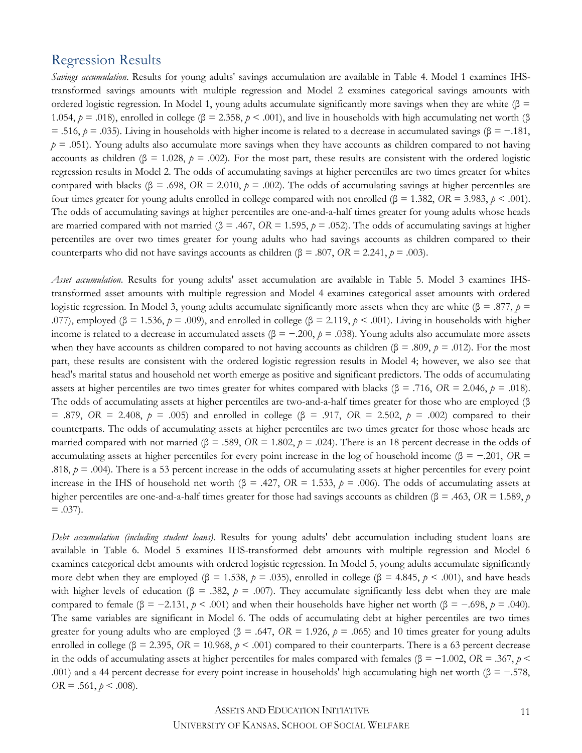### Regression Results

*Savings accumulation*. Results for young adults' savings accumulation are available in Table 4. Model 1 examines IHStransformed savings amounts with multiple regression and Model 2 examines categorical savings amounts with ordered logistic regression. In Model 1, young adults accumulate significantly more savings when they are white  $(\beta =$ 1.054,  $p = .018$ ), enrolled in college (β = 2.358,  $p < .001$ ), and live in households with high accumulating net worth (β = .516,  $p = .035$ ). Living in households with higher income is related to a decrease in accumulated savings ( $\beta$  = −.181,  $p = .051$ ). Young adults also accumulate more savings when they have accounts as children compared to not having accounts as children ( $\beta = 1.028$ ,  $p = .002$ ). For the most part, these results are consistent with the ordered logistic regression results in Model 2. The odds of accumulating savings at higher percentiles are two times greater for whites compared with blacks (β = .698, *OR* = 2.010,  $p = .002$ ). The odds of accumulating savings at higher percentiles are four times greater for young adults enrolled in college compared with not enrolled (β = 1.382, *OR* = 3.983, *p* < .001). The odds of accumulating savings at higher percentiles are one-and-a-half times greater for young adults whose heads are married compared with not married ( $\beta = .467$ ,  $OR = 1.595$ ,  $p = .052$ ). The odds of accumulating savings at higher percentiles are over two times greater for young adults who had savings accounts as children compared to their counterparts who did not have savings accounts as children (β = .807, *OR* = 2.241, *p* = .003).

*Asset accumulation*. Results for young adults' asset accumulation are available in Table 5. Model 3 examines IHStransformed asset amounts with multiple regression and Model 4 examines categorical asset amounts with ordered logistic regression. In Model 3, young adults accumulate significantly more assets when they are white (β = .877, *p* = .077), employed ( $\beta = 1.536$ ,  $p = .009$ ), and enrolled in college ( $\beta = 2.119$ ,  $p < .001$ ). Living in households with higher income is related to a decrease in accumulated assets (β = −.200, *p* = .038). Young adults also accumulate more assets when they have accounts as children compared to not having accounts as children ( $\beta = .809$ ,  $p = .012$ ). For the most part, these results are consistent with the ordered logistic regression results in Model 4; however, we also see that head's marital status and household net worth emerge as positive and significant predictors. The odds of accumulating assets at higher percentiles are two times greater for whites compared with blacks ( $\beta$  = .716, *OR* = 2.046,  $p$  = .018). The odds of accumulating assets at higher percentiles are two-and-a-half times greater for those who are employed (β = .879, *OR* = 2.408, *p* = .005) and enrolled in college (β = .917, *OR* = 2.502, *p* = .002) compared to their counterparts. The odds of accumulating assets at higher percentiles are two times greater for those whose heads are married compared with not married (β = .589, *OR* = 1.802, *p* = .024). There is an 18 percent decrease in the odds of accumulating assets at higher percentiles for every point increase in the log of household income (β = −.201, *OR* = .818,  $p = 0.04$ ). There is a 53 percent increase in the odds of accumulating assets at higher percentiles for every point increase in the IHS of household net worth (β = .427, *OR* = 1.533,  $p = .006$ ). The odds of accumulating assets at higher percentiles are one-and-a-half times greater for those had savings accounts as children (β = .463, *OR* = 1.589, *p*  $= .037$ ).

*Debt accumulation (including student loans)*. Results for young adults' debt accumulation including student loans are available in Table 6. Model 5 examines IHS-transformed debt amounts with multiple regression and Model 6 examines categorical debt amounts with ordered logistic regression. In Model 5, young adults accumulate significantly more debt when they are employed ( $\beta$  = 1.538,  $p$  = .035), enrolled in college ( $\beta$  = 4.845,  $p$  < .001), and have heads with higher levels of education ( $\beta$  = .382,  $p$  = .007). They accumulate significantly less debt when they are male compared to female (β = -2.131,  $p < .001$ ) and when their households have higher net worth (β = -.698,  $p = .040$ ). The same variables are significant in Model 6. The odds of accumulating debt at higher percentiles are two times greater for young adults who are employed ( $\beta = .647$ ,  $OR = 1.926$ ,  $p = .065$ ) and 10 times greater for young adults enrolled in college ( $\beta$  = 2.395, *OR* = 10.968,  $p < .001$ ) compared to their counterparts. There is a 63 percent decrease in the odds of accumulating assets at higher percentiles for males compared with females ( $\beta = -1.002$ ,  $OR = .367$ ,  $p <$ .001) and a 44 percent decrease for every point increase in households' high accumulating high net worth ( $\beta = -.578$ ,  $OR = .561, p < .008$ .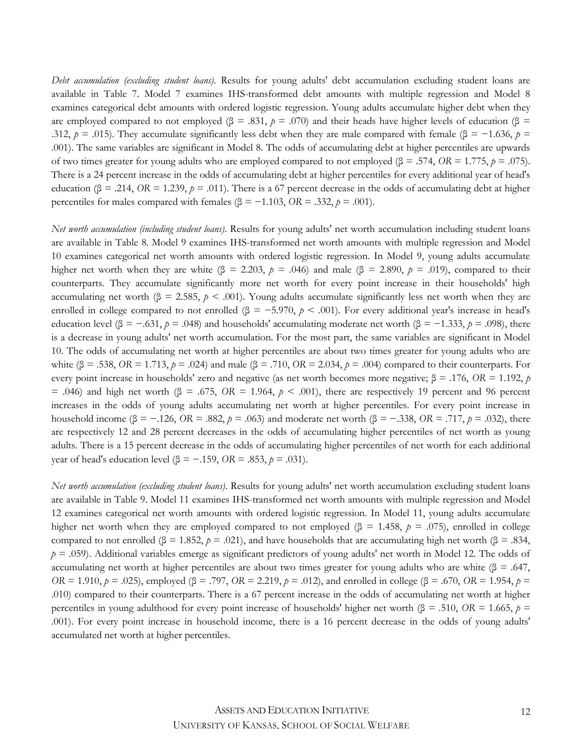*Debt accumulation (excluding student loans)*. Results for young adults' debt accumulation excluding student loans are available in Table 7. Model 7 examines IHS-transformed debt amounts with multiple regression and Model 8 examines categorical debt amounts with ordered logistic regression. Young adults accumulate higher debt when they are employed compared to not employed ( $\beta$  = .831,  $\rho$  = .070) and their heads have higher levels of education ( $\beta$  = .312,  $p = .015$ ). They accumulate significantly less debt when they are male compared with female ( $\beta = -1.636$ ,  $p =$ .001). The same variables are significant in Model 8. The odds of accumulating debt at higher percentiles are upwards of two times greater for young adults who are employed compared to not employed (β = .574, *OR* = 1.775, *p* = .075). There is a 24 percent increase in the odds of accumulating debt at higher percentiles for every additional year of head's education ( $\beta = .214$ ,  $OR = 1.239$ ,  $p = .011$ ). There is a 67 percent decrease in the odds of accumulating debt at higher percentiles for males compared with females ( $\beta$  = -1.103, *OR* = .332, *p* = .001).

*Net worth accumulation (including student loans)*. Results for young adults' net worth accumulation including student loans are available in Table 8. Model 9 examines IHS-transformed net worth amounts with multiple regression and Model 10 examines categorical net worth amounts with ordered logistic regression. In Model 9, young adults accumulate higher net worth when they are white ( $\beta = 2.203$ ,  $p = .046$ ) and male ( $\beta = 2.890$ ,  $p = .019$ ), compared to their counterparts. They accumulate significantly more net worth for every point increase in their households' high accumulating net worth ( $\beta = 2.585$ ,  $p < .001$ ). Young adults accumulate significantly less net worth when they are enrolled in college compared to not enrolled (β = −5.970, *p* < .001). For every additional year's increase in head's education level ( $\beta = -.631$ ,  $p = .048$ ) and households' accumulating moderate net worth ( $\beta = -1.333$ ,  $p = .098$ ), there is a decrease in young adults' net worth accumulation. For the most part, the same variables are significant in Model 10. The odds of accumulating net worth at higher percentiles are about two times greater for young adults who are white (β = .538, *OR* = 1.713, *p* = .024) and male (β = .710, *OR* = 2.034, *p* = .004) compared to their counterparts. For every point increase in households' zero and negative (as net worth becomes more negative; β = .176, *OR* = 1.192, *p* = .046) and high net worth (β = .675, *OR* = 1.964, *p* < .001), there are respectively 19 percent and 96 percent increases in the odds of young adults accumulating net worth at higher percentiles. For every point increase in household income (β = −.126, *OR* = .882, *p* = .063) and moderate net worth (β = −.338, *OR* = .717, *p* = .032), there are respectively 12 and 28 percent decreases in the odds of accumulating higher percentiles of net worth as young adults. There is a 15 percent decrease in the odds of accumulating higher percentiles of net worth for each additional year of head's education level (β = −.159, *OR* = .853, *p* = .031).

*Net worth accumulation (excluding student loans)*. Results for young adults' net worth accumulation excluding student loans are available in Table 9. Model 11 examines IHS-transformed net worth amounts with multiple regression and Model 12 examines categorical net worth amounts with ordered logistic regression. In Model 11, young adults accumulate higher net worth when they are employed compared to not employed (β = 1.458, *p* = .075), enrolled in college compared to not enrolled (β = 1.852, *p* = .021), and have households that are accumulating high net worth (β = .834,  $p = .059$ . Additional variables emerge as significant predictors of young adults' net worth in Model 12. The odds of accumulating net worth at higher percentiles are about two times greater for young adults who are white ( $\beta = .647$ , *OR* = 1.910, *p* = .025), employed (β = .797, *OR* = 2.219, *p* = .012), and enrolled in college (β = .670, *OR* = 1.954, *p* = .010) compared to their counterparts. There is a 67 percent increase in the odds of accumulating net worth at higher percentiles in young adulthood for every point increase of households' higher net worth (β = .510, *OR* = 1.665, *p* = .001). For every point increase in household income, there is a 16 percent decrease in the odds of young adults' accumulated net worth at higher percentiles.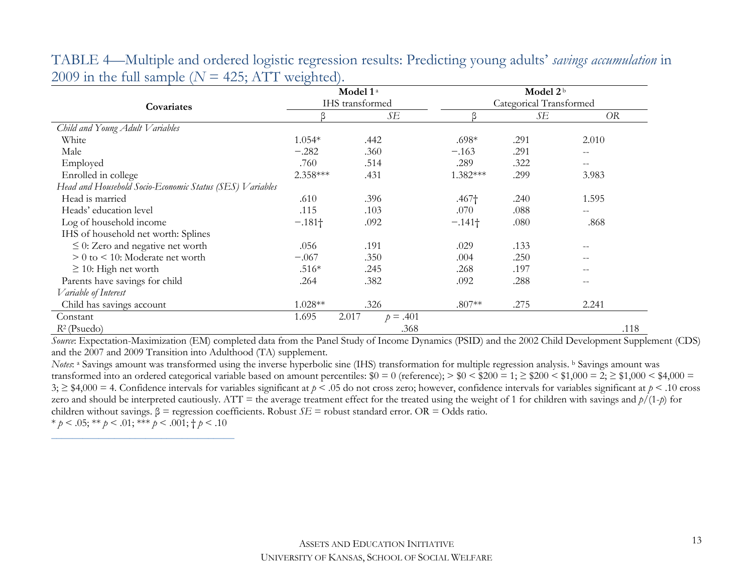TABLE 4—Multiple and ordered logistic regression results: Predicting young adults' *savings accumulation* in 2009 in the full sample  $(N = 425; ATT$  weighted).

|                                                          |            | Model 1 <sup>a</sup> | Model $2b$              |      |                   |  |
|----------------------------------------------------------|------------|----------------------|-------------------------|------|-------------------|--|
| Covariates                                               |            | IHS transformed      | Categorical Transformed |      |                   |  |
|                                                          |            | SE                   | ß                       | SE   | <b>OR</b>         |  |
| Child and Young Adult Variables                          |            |                      |                         |      |                   |  |
| White                                                    | $1.054*$   | .442                 | $.698*$                 | .291 | 2.010             |  |
| Male                                                     | $-.282$    | .360                 | $-.163$                 | .291 | $\qquad \qquad -$ |  |
| Employed                                                 | .760       | .514                 | .289                    | .322 | $-$               |  |
| Enrolled in college                                      | $2.358***$ | .431                 | 1.382***                | .299 | 3.983             |  |
| Head and Household Socio-Economic Status (SES) Variables |            |                      |                         |      |                   |  |
| Head is married                                          | .610       | .396                 | .467†                   | .240 | 1.595             |  |
| Heads' education level                                   | .115       | .103                 | .070                    | .088 | $\qquad \qquad -$ |  |
| Log of household income                                  | $-.181+$   | .092                 | $-.141+$                | .080 | .868              |  |
| IHS of household net worth: Splines                      |            |                      |                         |      |                   |  |
| $\leq$ 0: Zero and negative net worth                    | .056       | .191                 | .029                    | .133 | $- -$             |  |
| $> 0$ to $< 10$ : Moderate net worth                     | $-.067$    | .350                 | .004                    | .250 | $-$               |  |
| $\geq$ 10: High net worth                                | $.516*$    | .245                 | .268                    | .197 | $- -$             |  |
| Parents have savings for child                           | .264       | .382                 | .092                    | .288 |                   |  |
| Variable of Interest                                     |            |                      |                         |      |                   |  |
| Child has savings account                                | 1.028**    | .326                 | $.807**$                | .275 | 2.241             |  |
| Constant                                                 | 1.695      | 2.017<br>$p = .401$  |                         |      |                   |  |
| $R^2$ (Psuedo)                                           |            | .368                 |                         |      | .118              |  |

*Source*: Expectation-Maximization (EM) completed data from the Panel Study of Income Dynamics (PSID) and the 2002 Child Development Supplement (CDS) and the 2007 and 2009 Transition into Adulthood (TA) supplement.

*Notes*: <sup>a</sup> Savings amount was transformed using the inverse hyperbolic sine (IHS) transformation for multiple regression analysis. **b** Savings amount was transformed into an ordered categorical variable based on amount percentiles:  $$0 = 0$  (reference);  $> $0 < $200 = 1; \ge $200 < $1,000 = 2; \ge $1,000 < $4,000 = 1$ 3; ≥ \$4,000 = 4. Confidence intervals for variables significant at *p* < .05 do not cross zero; however, confidence intervals for variables significant at *p* < .10 cross zero and should be interpreted cautiously. ATT = the average treatment effect for the treated using the weight of 1 for children with savings and  $p/(1-p)$  for children without savings. β = regression coefficients. Robust *SE* = robust standard error. OR = Odds ratio. \* *p* < .05; \*\* *p* < .01; \*\*\* *p* < .001;  $\dagger$  *p* < .10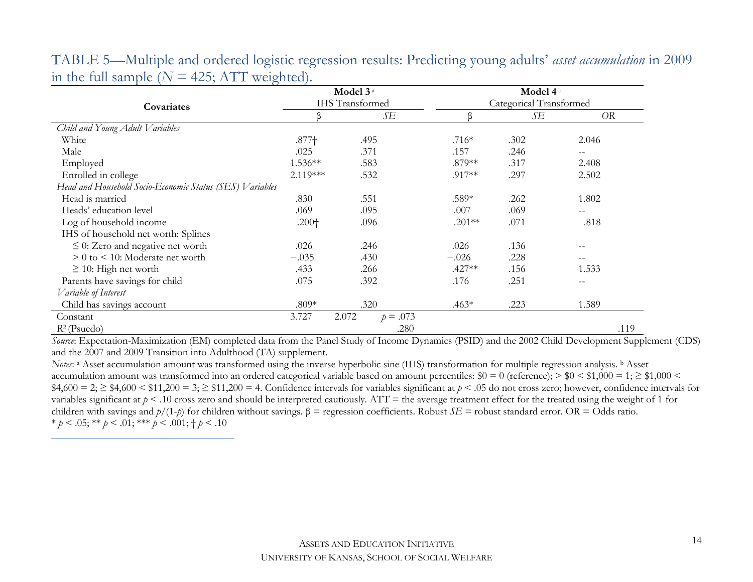TABLE 5—Multiple and ordered logistic regression results: Predicting young adults' *asset accumulation* in 2009 in the full sample  $(N = 425; ATT$  weighted).

|                                                          |           | Model 3 <sup>a</sup>   | Model 4 <sup>b</sup>    |      |                   |  |
|----------------------------------------------------------|-----------|------------------------|-------------------------|------|-------------------|--|
| Covariates                                               |           | <b>IHS</b> Transformed | Categorical Transformed |      |                   |  |
|                                                          | ß         | SE                     | ß                       | SE   | <b>OR</b>         |  |
| Child and Young Adult Variables                          |           |                        |                         |      |                   |  |
| White                                                    | $.877+$   | .495                   | $.716*$                 | .302 | 2.046             |  |
| Male                                                     | .025      | .371                   | .157                    | .246 | $-$               |  |
| Employed                                                 | $1.536**$ | .583                   | .879**                  | .317 | 2.408             |  |
| Enrolled in college                                      | 2.119***  | .532                   | .917**                  | .297 | 2.502             |  |
| Head and Household Socio-Economic Status (SES) Variables |           |                        |                         |      |                   |  |
| Head is married                                          | .830      | .551                   | .589*                   | .262 | 1.802             |  |
| Heads' education level                                   | .069      | .095                   | $-.007$                 | .069 |                   |  |
| Log of household income                                  | $-.200+$  | .096                   | $-.201**$               | .071 | .818              |  |
| IHS of household net worth: Splines                      |           |                        |                         |      |                   |  |
| $\leq$ 0: Zero and negative net worth                    | .026      | .246                   | .026                    | .136 | $\qquad \qquad -$ |  |
| $> 0$ to $< 10$ : Moderate net worth                     | $-.035$   | .430                   | $-.026$                 | .228 | $- -$             |  |
| $\geq$ 10: High net worth                                | .433      | .266                   | .427**                  | .156 | 1.533             |  |
| Parents have savings for child                           | .075      | .392                   | .176                    | .251 | $-$               |  |
| Variable of Interest                                     |           |                        |                         |      |                   |  |
| Child has savings account                                | $.809*$   | .320                   | $.463*$                 | .223 | 1.589             |  |
| Constant                                                 | 3.727     | 2.072<br>$p = .073$    |                         |      |                   |  |
| $R^2$ (Psuedo)                                           |           | .280                   |                         |      | .119              |  |

*Source*: Expectation-Maximization (EM) completed data from the Panel Study of Income Dynamics (PSID) and the 2002 Child Development Supplement (CDS) and the 2007 and 2009 Transition into Adulthood (TA) supplement.

*Notes*: a Asset accumulation amount was transformed using the inverse hyperbolic sine (IHS) transformation for multiple regression analysis. b Asset accumulation amount was transformed into an ordered categorical variable based on amount percentiles:  $0 = 0$  (reference);  $> 0.00 = 1$ ;  $\ge 0.000 = 1$ ;  $\ge 0.000 = 1$ ;  $\ge 0.000 = 1$ ;  $$4,600 = 2$ ;  $\geq $4,600 < $11,200 = 3$ ;  $\geq $11,200 = 4$ . Confidence intervals for variables significant at  $p < .05$  do not cross zero; however, confidence intervals for variables significant at  $p < 0.10$  cross zero and should be interpreted cautiously. ATT = the average treatment effect for the treated using the weight of 1 for children with savings and *p*/(1-*p*) for children without savings. β = regression coefficients. Robust *SE* = robust standard error. OR = Odds ratio. \* *p* < .05; \*\* *p* < .01; \*\*\* *p* < .001;  $\dagger$  *p* < .10 \_\_\_\_\_\_\_\_\_\_\_\_\_\_\_\_\_\_\_\_\_\_\_\_\_\_\_\_\_\_\_\_\_\_\_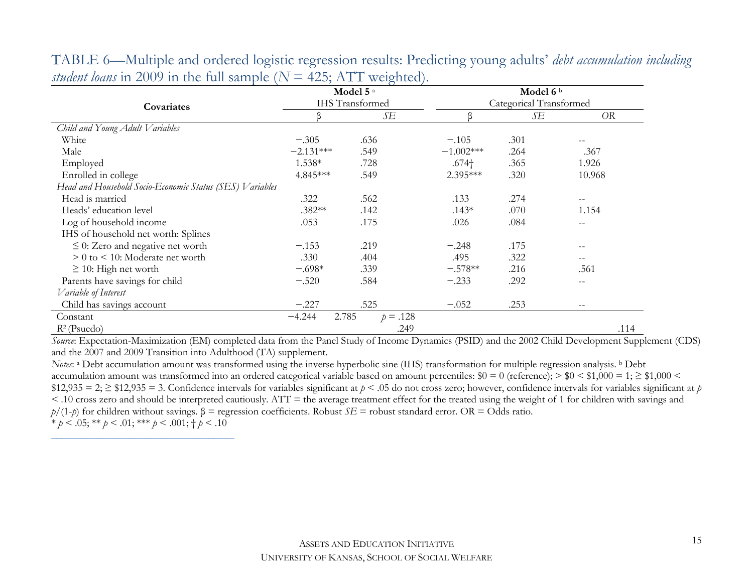|                                                          |             | Model $5^{\mathrm{a}}$ | Model 6 $b$<br>Categorical Transformed |      |                   |  |
|----------------------------------------------------------|-------------|------------------------|----------------------------------------|------|-------------------|--|
| Covariates                                               |             | <b>IHS</b> Transformed |                                        |      |                   |  |
|                                                          |             | SЕ                     |                                        | SE   | <b>OR</b>         |  |
| Child and Young Adult Variables                          |             |                        |                                        |      |                   |  |
| White                                                    | $-.305$     | .636                   | $-.105$                                | .301 |                   |  |
| Male                                                     | $-2.131***$ | .549                   | $-1.002***$                            | .264 | .367              |  |
| Employed                                                 | 1.538*      | .728                   | $.674+$                                | .365 | 1.926             |  |
| Enrolled in college                                      | 4.845***    | .549                   | 2.395***                               | .320 | 10.968            |  |
| Head and Household Socio-Economic Status (SES) Variables |             |                        |                                        |      |                   |  |
| Head is married                                          | .322        | .562                   | .133                                   | .274 |                   |  |
| Heads' education level                                   | .382**      | .142                   | $.143*$                                | .070 | 1.154             |  |
| Log of household income                                  | .053        | .175                   | .026                                   | .084 | $--$              |  |
| IHS of household net worth: Splines                      |             |                        |                                        |      |                   |  |
| $\leq$ 0: Zero and negative net worth                    | $-.153$     | .219                   | $-.248$                                | .175 | $-$               |  |
| $> 0$ to $< 10$ : Moderate net worth                     | .330        | .404                   | .495                                   | .322 | $- -$             |  |
| $\geq$ 10: High net worth                                | $-.698*$    | .339                   | $-.578**$                              | .216 | .561              |  |
| Parents have savings for child                           | $-.520$     | .584                   | $-.233$                                | .292 | $- -$             |  |
| Variable of Interest                                     |             |                        |                                        |      |                   |  |
| Child has savings account                                | $-.227$     | .525                   | $-.052$                                | .253 | $\qquad \qquad -$ |  |
| Constant                                                 | $-4.244$    | 2.785<br>$p = .128$    |                                        |      |                   |  |
| $R^2$ (Psuedo)                                           |             | .249                   |                                        |      | .114              |  |

TABLE 6—Multiple and ordered logistic regression results: Predicting young adults' *debt accumulation including student loans* in 2009 in the full sample  $(N = 425; ATT$  weighted).

*Source*: Expectation-Maximization (EM) completed data from the Panel Study of Income Dynamics (PSID) and the 2002 Child Development Supplement (CDS) and the 2007 and 2009 Transition into Adulthood (TA) supplement.

*Notes*: <sup>a</sup> Debt accumulation amount was transformed using the inverse hyperbolic sine (IHS) transformation for multiple regression analysis. <sup>b</sup> Debt accumulation amount was transformed into an ordered categorical variable based on amount percentiles:  $0 = 0$  (reference);  $> 0.00 = 1$ ;  $\ge 0.000 = 1$ ;  $\ge 0.000 = 1$ ;  $\ge 0.000 = 1$ ;  $$12,935 = 2$ ;  $\geq $12,935 = 3$ . Confidence intervals for variables significant at  $p < .05$  do not cross zero; however, confidence intervals for variables significant at *p*  $<$  10 cross zero and should be interpreted cautiously. ATT = the average treatment effect for the treated using the weight of 1 for children with savings and *p*/(1-*p*) for children without savings. β = regression coefficients. Robust *SE* = robust standard error. OR = Odds ratio. \* *p* < .05; \*\* *p* < .01; \*\*\* *p* < .001;  $\uparrow$  *p* < .10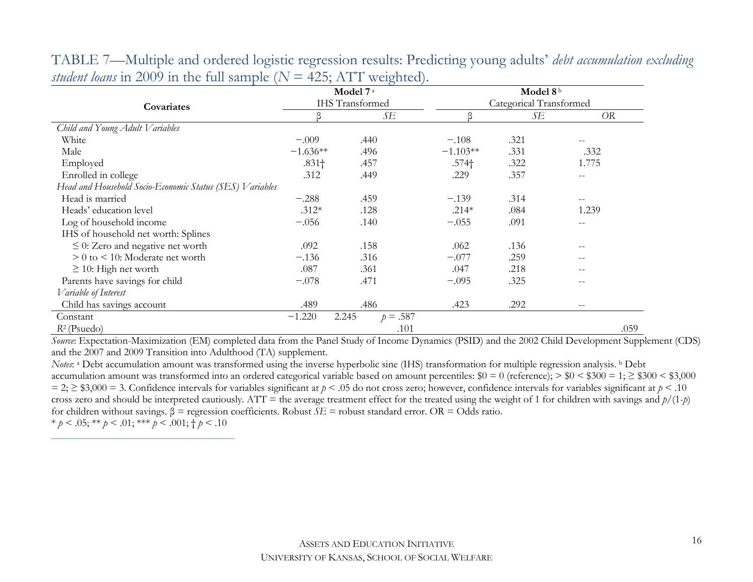|                                                          |            | $\circ$<br>Model 7 <sup>a</sup><br><b>IHS</b> Transformed | Model 8 <sup>b</sup><br>Categorical Transformed |      |                   |  |
|----------------------------------------------------------|------------|-----------------------------------------------------------|-------------------------------------------------|------|-------------------|--|
| Covariates                                               | ß          | SE                                                        | ß                                               | SЕ   | <b>OR</b>         |  |
| Child and Young Adult Variables                          |            |                                                           |                                                 |      |                   |  |
| White                                                    | $-.009$    | .440                                                      | $-.108$                                         | .321 |                   |  |
| Male                                                     | $-1.636**$ | .496                                                      | $-1.103**$                                      | .331 | .332              |  |
| Employed                                                 | $.831+$    | .457                                                      | $.574+$                                         | .322 | 1.775             |  |
| Enrolled in college                                      | .312       | .449                                                      | .229                                            | .357 |                   |  |
| Head and Household Socio-Economic Status (SES) Variables |            |                                                           |                                                 |      |                   |  |
| Head is married                                          | $-.288$    | .459                                                      | $-.139$                                         | .314 |                   |  |
| Heads' education level                                   | $.312*$    | .128                                                      | $.214*$                                         | .084 | 1.239             |  |
| Log of household income                                  | $-.056$    | .140                                                      | $-.055$                                         | .091 |                   |  |
| IHS of household net worth: Splines                      |            |                                                           |                                                 |      |                   |  |
| $\leq$ 0: Zero and negative net worth                    | .092       | .158                                                      | .062                                            | .136 |                   |  |
| $> 0$ to $< 10$ : Moderate net worth                     | $-.136$    | .316                                                      | $-.077$                                         | .259 | $-$               |  |
| $\geq$ 10: High net worth                                | .087       | .361                                                      | .047                                            | .218 |                   |  |
| Parents have savings for child                           | $-.078$    | .471                                                      | $-.095$                                         | .325 |                   |  |
| Variable of Interest                                     |            |                                                           |                                                 |      |                   |  |
| Child has savings account                                | .489       | .486                                                      | .423                                            | .292 | $\qquad \qquad -$ |  |
| Constant                                                 | $-1.220$   | 2.245<br>$p = .587$                                       |                                                 |      |                   |  |
| $R^2$ (Psuedo)                                           |            | .101                                                      |                                                 |      | .059              |  |

TABLE 7—Multiple and ordered logistic regression results: Predicting young adults' *debt accumulation excluding student loans* in 2009 in the full sample  $(N = 425$ ; ATT weighted).

*Source*: Expectation-Maximization (EM) completed data from the Panel Study of Income Dynamics (PSID) and the 2002 Child Development Supplement (CDS) and the 2007 and 2009 Transition into Adulthood (TA) supplement.

*Notes*: <sup>a</sup> Debt accumulation amount was transformed using the inverse hyperbolic sine (IHS) transformation for multiple regression analysis. <sup>b</sup> Debt accumulation amount was transformed into an ordered categorical variable based on amount percentiles:  $0 = 0$  (reference);  $> 0 = 0$  < \$300 = 1;  $\geq$  \$300 < \$3,000  $= 2$ ;  $\geq$  \$3,000 = 3. Confidence intervals for variables significant at  $p \leq .05$  do not cross zero; however, confidence intervals for variables significant at  $p \leq .10$ cross zero and should be interpreted cautiously. ATT = the average treatment effect for the treated using the weight of 1 for children with savings and  $p/(1-p)$ for children without savings. β = regression coefficients. Robust *SE* = robust standard error. OR = Odds ratio. \* *p* < .05; \*\* *p* < .01; \*\*\* *p* < .001;  $\dagger$  *p* < .10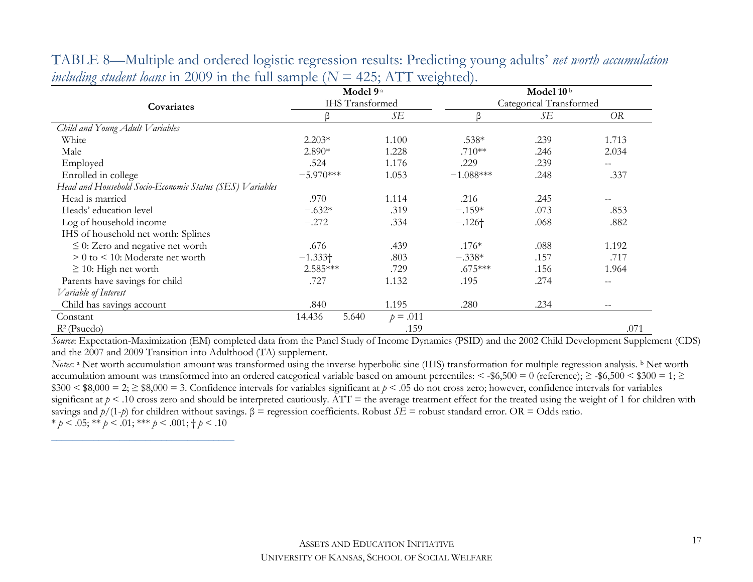| $\circ$                                                  |                                                |       |            | $\epsilon$                                 |      |                   |  |
|----------------------------------------------------------|------------------------------------------------|-------|------------|--------------------------------------------|------|-------------------|--|
|                                                          | Model 9 <sup>a</sup><br><b>IHS</b> Transformed |       |            | Model 10 $\,$ b<br>Categorical Transformed |      |                   |  |
| Covariates                                               |                                                |       |            |                                            |      |                   |  |
|                                                          |                                                |       | SЕ         | ß                                          | SЕ   | OR                |  |
| Child and Young Adult Variables                          |                                                |       |            |                                            |      |                   |  |
| White                                                    | $2.203*$                                       |       | 1.100      | $.538*$                                    | .239 | 1.713             |  |
| Male                                                     | 2.890*                                         |       | 1.228      | $.710**$                                   | .246 | 2.034             |  |
| Employed                                                 | .524                                           |       | 1.176      | .229                                       | .239 | $\qquad \qquad -$ |  |
| Enrolled in college                                      | $-5.970***$                                    |       | 1.053      | $-1.088***$                                | .248 | .337              |  |
| Head and Household Socio-Economic Status (SES) Variables |                                                |       |            |                                            |      |                   |  |
| Head is married                                          | .970                                           |       | 1.114      | .216                                       | .245 |                   |  |
| Heads' education level                                   | $-.632*$                                       |       | .319       | $-.159*$                                   | .073 | .853              |  |
| Log of household income                                  | $-.272$                                        |       | .334       | $-.126+$                                   | .068 | .882              |  |
| IHS of household net worth: Splines                      |                                                |       |            |                                            |      |                   |  |
| $\leq$ 0: Zero and negative net worth                    | .676                                           |       | .439       | $.176*$                                    | .088 | 1.192             |  |
| $> 0$ to $< 10$ : Moderate net worth                     | $-1.333 +$                                     |       | .803       | $-.338*$                                   | .157 | .717              |  |
| $\geq$ 10: High net worth                                | 2.585***                                       |       | .729       | $.675***$                                  | .156 | 1.964             |  |
| Parents have savings for child                           | .727                                           |       | 1.132      | .195                                       | .274 |                   |  |
| Variable of Interest                                     |                                                |       |            |                                            |      |                   |  |
| Child has savings account                                | .840                                           |       | 1.195      | .280                                       | .234 | $\qquad \qquad -$ |  |
| Constant                                                 | 14.436                                         | 5.640 | $p = .011$ |                                            |      |                   |  |
| $R^2$ (Psuedo)                                           |                                                |       | .159       |                                            |      | .071              |  |

TABLE 8—Multiple and ordered logistic regression results: Predicting young adults' *net worth accumulation including student loans* in 2009 in the full sample  $(N = 425$ ; ATT weighted).

*Source*: Expectation-Maximization (EM) completed data from the Panel Study of Income Dynamics (PSID) and the 2002 Child Development Supplement (CDS) and the 2007 and 2009 Transition into Adulthood (TA) supplement.

*Notes*: <sup>a</sup> Net worth accumulation amount was transformed using the inverse hyperbolic sine (IHS) transformation for multiple regression analysis. <sup>b</sup> Net worth accumulation amount was transformed into an ordered categorical variable based on amount percentiles: < -\$6,500 = 0 (reference);  $\geq$  -\$6,500 < \$300 = 1;  $\geq$ \$300 < \$8,000 = 2; ≥ \$8,000 = 3. Confidence intervals for variables significant at *p* < .05 do not cross zero; however, confidence intervals for variables significant at  $p \le 0.10$  cross zero and should be interpreted cautiously. ATT = the average treatment effect for the treated using the weight of 1 for children with savings and *p*/(1-*p*) for children without savings. β = regression coefficients. Robust *SE* = robust standard error. OR = Odds ratio. \* *p* < .05; \*\* *p* < .01; \*\*\* *p* < .001;  $\dagger$  *p* < .10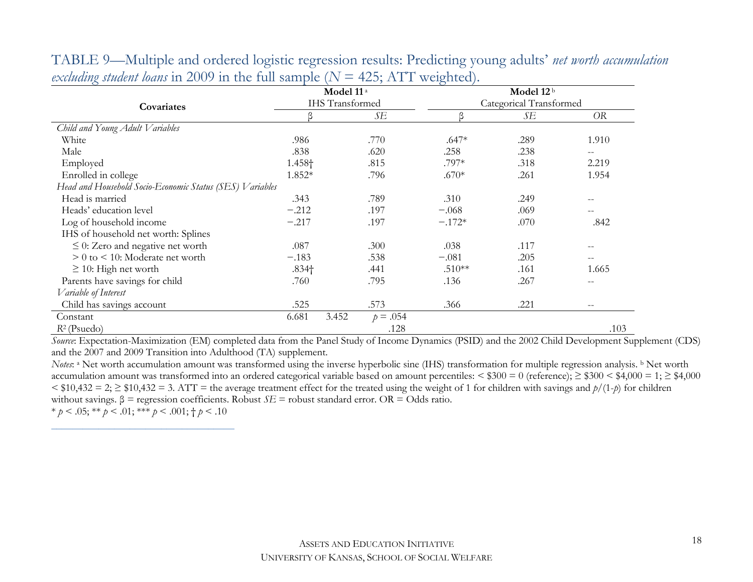| TABLE 9—Multiple and ordered logistic regression results: Predicting young adults' net worth accumulation |  |  |
|-----------------------------------------------------------------------------------------------------------|--|--|
| <i>excluding student loans</i> in 2009 in the full sample ( $N = 425$ ; ATT weighted).                    |  |  |

|                                                          |                    | Model 11 <sup>a</sup>  |            | Model $12b$             |      |           |  |
|----------------------------------------------------------|--------------------|------------------------|------------|-------------------------|------|-----------|--|
| Covariates                                               |                    | <b>IHS</b> Transformed |            | Categorical Transformed |      |           |  |
|                                                          |                    |                        | SE         | ß                       | SE   | <b>OR</b> |  |
| Child and Young Adult Variables                          |                    |                        |            |                         |      |           |  |
| White                                                    | .986               |                        | .770       | $.647*$                 | .289 | 1.910     |  |
| Male                                                     | .838               |                        | .620       | .258                    | .238 | $- -$     |  |
| Employed                                                 | 1.458 <sup>+</sup> |                        | .815       | .797*                   | .318 | 2.219     |  |
| Enrolled in college                                      | 1.852*             |                        | .796       | $.670*$                 | .261 | 1.954     |  |
| Head and Household Socio-Economic Status (SES) Variables |                    |                        |            |                         |      |           |  |
| Head is married                                          | .343               |                        | .789       | .310                    | .249 |           |  |
| Heads' education level                                   | $-.212$            |                        | .197       | $-.068$                 | .069 |           |  |
| Log of household income                                  | $-.217$            |                        | .197       | $-.172*$                | .070 | .842      |  |
| IHS of household net worth: Splines                      |                    |                        |            |                         |      |           |  |
| $\leq$ 0: Zero and negative net worth                    | .087               |                        | .300       | .038                    | .117 |           |  |
| $> 0$ to $< 10$ : Moderate net worth                     | $-.183$            |                        | .538       | $-.081$                 | .205 |           |  |
| $\geq$ 10: High net worth                                | $.834+$            |                        | .441       | $.510**$                | .161 | 1.665     |  |
| Parents have savings for child                           | .760               |                        | .795       | .136                    | .267 |           |  |
| Variable of Interest                                     |                    |                        |            |                         |      |           |  |
| Child has savings account                                | .525               |                        | .573       | .366                    | .221 | $-$       |  |
| Constant                                                 | 6.681              | 3.452                  | $p = .054$ |                         |      |           |  |
| $R^2$ (Psuedo)                                           |                    |                        | .128       |                         |      | .103      |  |

*Source*: Expectation-Maximization (EM) completed data from the Panel Study of Income Dynamics (PSID) and the 2002 Child Development Supplement (CDS) and the 2007 and 2009 Transition into Adulthood (TA) supplement.

*Notes*: a Net worth accumulation amount was transformed using the inverse hyperbolic sine (IHS) transformation for multiple regression analysis. b Net worth accumulation amount was transformed into an ordered categorical variable based on amount percentiles: <  $$300 = 0$  (reference);  $\geq$  \$300 < \$4,000 = 1;  $\geq$  \$4,000  $\langle$  \$10,432 = 2;  $\ge$  \$10,432 = 3. ATT = the average treatment effect for the treated using the weight of 1 for children with savings and  $p/(1-p)$  for children without savings. β = regression coefficients. Robust *SE* = robust standard error. OR = Odds ratio. \* *p* < .05; \*\* *p* < .01; \*\*\* *p* < .001;  $\dagger$  *p* < .10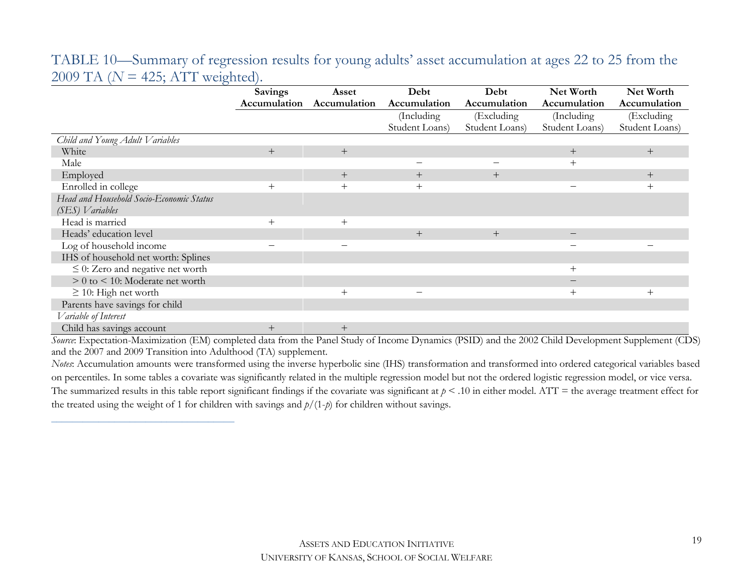TABLE 10—Summary of regression results for young adults' asset accumulation at ages 22 to 25 from the 2009 TA (*N* = 425; ATT weighted).

|                                          | <b>Savings</b> | Asset        | Debt           | Debt           | Net Worth      | Net Worth      |
|------------------------------------------|----------------|--------------|----------------|----------------|----------------|----------------|
|                                          | Accumulation   | Accumulation | Accumulation   | Accumulation   | Accumulation   | Accumulation   |
|                                          |                |              | (Including     | (Excluding     | (Including     | (Excluding     |
|                                          |                |              | Student Loans) | Student Loans) | Student Loans) | Student Loans) |
| Child and Young Adult Variables          |                |              |                |                |                |                |
| White                                    | $+$            | $+$          |                |                | $^{+}$         | $^{+}$         |
| Male                                     |                |              | —              |                | $^+$           |                |
| Employed                                 |                | $^{+}$       | $^{+}$         | $^{+}$         |                | $^{+}$         |
| Enrolled in college                      | $^{+}$         | $^{+}$       | $^{+}$         |                |                | $^{+}$         |
| Head and Household Socio-Economic Status |                |              |                |                |                |                |
| $(SES)$ Variables                        |                |              |                |                |                |                |
| Head is married                          | $+$            | $^{+}$       |                |                |                |                |
| Heads' education level                   |                |              | $^{+}$         | $^{+}$         |                |                |
| Log of household income                  |                | -            |                |                |                |                |
| IHS of household net worth: Splines      |                |              |                |                |                |                |
| $\leq$ 0: Zero and negative net worth    |                |              |                |                | $^+$           |                |
| $> 0$ to $< 10$ : Moderate net worth     |                |              |                |                |                |                |
| $\geq$ 10: High net worth                |                | $^{+}$       |                |                | $^{+}$         | $\,+\,$        |
| Parents have savings for child           |                |              |                |                |                |                |
| Variable of Interest                     |                |              |                |                |                |                |
| Child has savings account                | $^{+}$         | $^{+}$       |                |                |                |                |

*Source*: Expectation-Maximization (EM) completed data from the Panel Study of Income Dynamics (PSID) and the 2002 Child Development Supplement (CDS) and the 2007 and 2009 Transition into Adulthood (TA) supplement.

*Notes*: Accumulation amounts were transformed using the inverse hyperbolic sine (IHS) transformation and transformed into ordered categorical variables based on percentiles. In some tables a covariate was significantly related in the multiple regression model but not the ordered logistic regression model, or vice versa. The summarized results in this table report significant findings if the covariate was significant at  $p < 0.10$  in either model. ATT = the average treatment effect for the treated using the weight of 1 for children with savings and *p*/(1-*p*) for children without savings.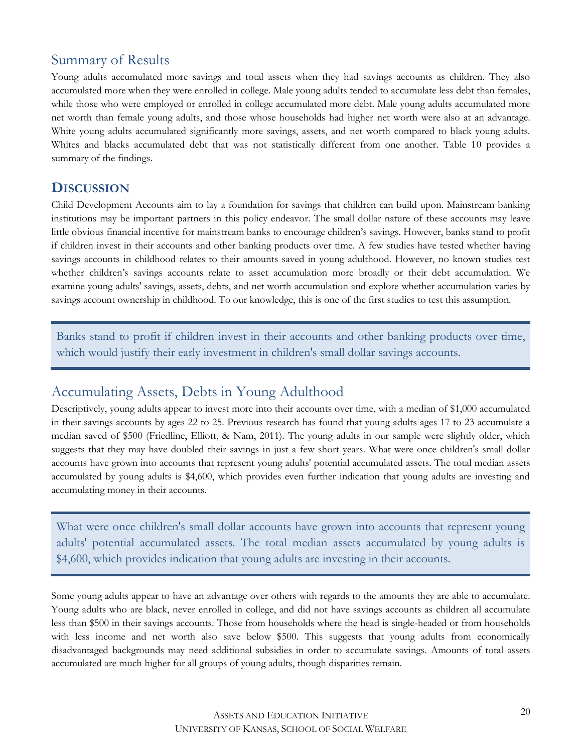## Summary of Results

Young adults accumulated more savings and total assets when they had savings accounts as children. They also accumulated more when they were enrolled in college. Male young adults tended to accumulate less debt than females, while those who were employed or enrolled in college accumulated more debt. Male young adults accumulated more net worth than female young adults, and those whose households had higher net worth were also at an advantage. White young adults accumulated significantly more savings, assets, and net worth compared to black young adults. Whites and blacks accumulated debt that was not statistically different from one another. Table 10 provides a summary of the findings.

#### **DISCUSSION**

Child Development Accounts aim to lay a foundation for savings that children can build upon. Mainstream banking institutions may be important partners in this policy endeavor. The small dollar nature of these accounts may leave little obvious financial incentive for mainstream banks to encourage children's savings. However, banks stand to profit if children invest in their accounts and other banking products over time. A few studies have tested whether having savings accounts in childhood relates to their amounts saved in young adulthood. However, no known studies test whether children's savings accounts relate to asset accumulation more broadly or their debt accumulation. We examine young adults' savings, assets, debts, and net worth accumulation and explore whether accumulation varies by savings account ownership in childhood. To our knowledge, this is one of the first studies to test this assumption.

Banks stand to profit if children invest in their accounts and other banking products over time, which would justify their early investment in children's small dollar savings accounts.

## Accumulating Assets, Debts in Young Adulthood

Descriptively, young adults appear to invest more into their accounts over time, with a median of \$1,000 accumulated in their savings accounts by ages 22 to 25. Previous research has found that young adults ages 17 to 23 accumulate a median saved of \$500 (Friedline, Elliott, & Nam, 2011). The young adults in our sample were slightly older, which suggests that they may have doubled their savings in just a few short years. What were once children's small dollar accounts have grown into accounts that represent young adults' potential accumulated assets. The total median assets accumulated by young adults is \$4,600, which provides even further indication that young adults are investing and accumulating money in their accounts.

What were once children's small dollar accounts have grown into accounts that represent young adults' potential accumulated assets. The total median assets accumulated by young adults is \$4,600, which provides indication that young adults are investing in their accounts.

Some young adults appear to have an advantage over others with regards to the amounts they are able to accumulate. Young adults who are black, never enrolled in college, and did not have savings accounts as children all accumulate less than \$500 in their savings accounts. Those from households where the head is single-headed or from households with less income and net worth also save below \$500. This suggests that young adults from economically disadvantaged backgrounds may need additional subsidies in order to accumulate savings. Amounts of total assets accumulated are much higher for all groups of young adults, though disparities remain.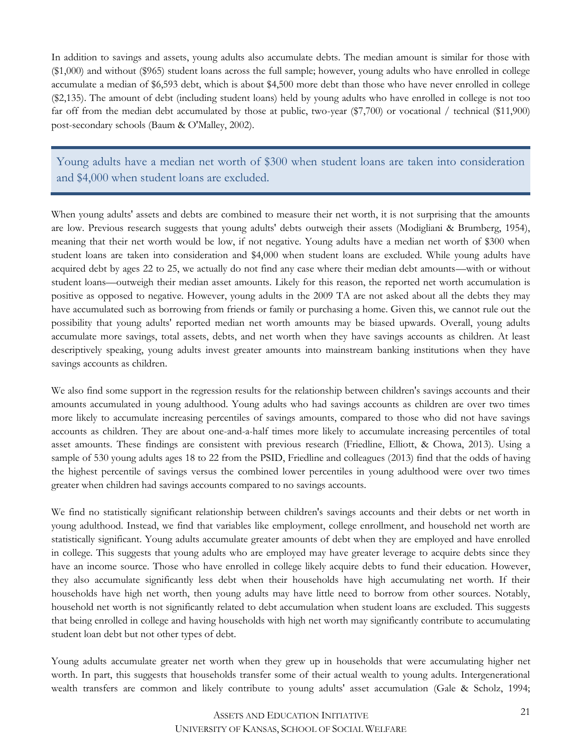In addition to savings and assets, young adults also accumulate debts. The median amount is similar for those with (\$1,000) and without (\$965) student loans across the full sample; however, young adults who have enrolled in college accumulate a median of \$6,593 debt, which is about \$4,500 more debt than those who have never enrolled in college (\$2,135). The amount of debt (including student loans) held by young adults who have enrolled in college is not too far off from the median debt accumulated by those at public, two-year (\$7,700) or vocational / technical (\$11,900) post-secondary schools (Baum & O'Malley, 2002).

Young adults have a median net worth of \$300 when student loans are taken into consideration and \$4,000 when student loans are excluded.

When young adults' assets and debts are combined to measure their net worth, it is not surprising that the amounts are low. Previous research suggests that young adults' debts outweigh their assets (Modigliani & Brumberg, 1954), meaning that their net worth would be low, if not negative. Young adults have a median net worth of \$300 when student loans are taken into consideration and \$4,000 when student loans are excluded. While young adults have acquired debt by ages 22 to 25, we actually do not find any case where their median debt amounts—with or without student loans—outweigh their median asset amounts. Likely for this reason, the reported net worth accumulation is positive as opposed to negative. However, young adults in the 2009 TA are not asked about all the debts they may have accumulated such as borrowing from friends or family or purchasing a home. Given this, we cannot rule out the possibility that young adults' reported median net worth amounts may be biased upwards. Overall, young adults accumulate more savings, total assets, debts, and net worth when they have savings accounts as children. At least descriptively speaking, young adults invest greater amounts into mainstream banking institutions when they have savings accounts as children.

We also find some support in the regression results for the relationship between children's savings accounts and their amounts accumulated in young adulthood. Young adults who had savings accounts as children are over two times more likely to accumulate increasing percentiles of savings amounts, compared to those who did not have savings accounts as children. They are about one-and-a-half times more likely to accumulate increasing percentiles of total asset amounts. These findings are consistent with previous research (Friedline, Elliott, & Chowa, 2013). Using a sample of 530 young adults ages 18 to 22 from the PSID, Friedline and colleagues (2013) find that the odds of having the highest percentile of savings versus the combined lower percentiles in young adulthood were over two times greater when children had savings accounts compared to no savings accounts.

We find no statistically significant relationship between children's savings accounts and their debts or net worth in young adulthood. Instead, we find that variables like employment, college enrollment, and household net worth are statistically significant. Young adults accumulate greater amounts of debt when they are employed and have enrolled in college. This suggests that young adults who are employed may have greater leverage to acquire debts since they have an income source. Those who have enrolled in college likely acquire debts to fund their education. However, they also accumulate significantly less debt when their households have high accumulating net worth. If their households have high net worth, then young adults may have little need to borrow from other sources. Notably, household net worth is not significantly related to debt accumulation when student loans are excluded. This suggests that being enrolled in college and having households with high net worth may significantly contribute to accumulating student loan debt but not other types of debt.

Young adults accumulate greater net worth when they grew up in households that were accumulating higher net worth. In part, this suggests that households transfer some of their actual wealth to young adults. Intergenerational wealth transfers are common and likely contribute to young adults' asset accumulation (Gale & Scholz, 1994;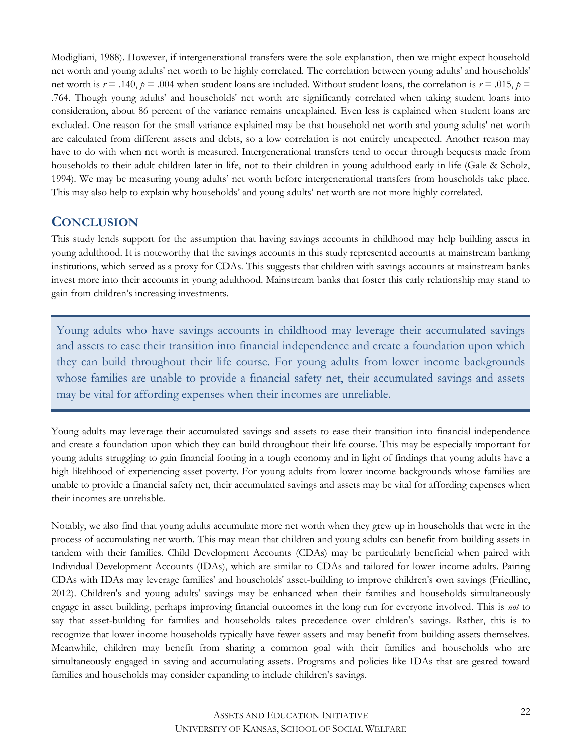Modigliani, 1988). However, if intergenerational transfers were the sole explanation, then we might expect household net worth and young adults' net worth to be highly correlated. The correlation between young adults' and households' net worth is  $r = .140$ ,  $p = .004$  when student loans are included. Without student loans, the correlation is  $r = .015$ ,  $p =$ .764. Though young adults' and households' net worth are significantly correlated when taking student loans into consideration, about 86 percent of the variance remains unexplained. Even less is explained when student loans are excluded. One reason for the small variance explained may be that household net worth and young adults' net worth are calculated from different assets and debts, so a low correlation is not entirely unexpected. Another reason may have to do with when net worth is measured. Intergenerational transfers tend to occur through bequests made from households to their adult children later in life, not to their children in young adulthood early in life (Gale & Scholz, 1994). We may be measuring young adults' net worth before intergenerational transfers from households take place. This may also help to explain why households' and young adults' net worth are not more highly correlated.

#### **CONCLUSION**

This study lends support for the assumption that having savings accounts in childhood may help building assets in young adulthood. It is noteworthy that the savings accounts in this study represented accounts at mainstream banking institutions, which served as a proxy for CDAs. This suggests that children with savings accounts at mainstream banks invest more into their accounts in young adulthood. Mainstream banks that foster this early relationship may stand to gain from children's increasing investments.

Young adults who have savings accounts in childhood may leverage their accumulated savings and assets to ease their transition into financial independence and create a foundation upon which they can build throughout their life course. For young adults from lower income backgrounds whose families are unable to provide a financial safety net, their accumulated savings and assets may be vital for affording expenses when their incomes are unreliable.

Young adults may leverage their accumulated savings and assets to ease their transition into financial independence and create a foundation upon which they can build throughout their life course. This may be especially important for young adults struggling to gain financial footing in a tough economy and in light of findings that young adults have a high likelihood of experiencing asset poverty. For young adults from lower income backgrounds whose families are unable to provide a financial safety net, their accumulated savings and assets may be vital for affording expenses when their incomes are unreliable.

Notably, we also find that young adults accumulate more net worth when they grew up in households that were in the process of accumulating net worth. This may mean that children and young adults can benefit from building assets in tandem with their families. Child Development Accounts (CDAs) may be particularly beneficial when paired with Individual Development Accounts (IDAs), which are similar to CDAs and tailored for lower income adults. Pairing CDAs with IDAs may leverage families' and households' asset-building to improve children's own savings (Friedline, 2012). Children's and young adults' savings may be enhanced when their families and households simultaneously engage in asset building, perhaps improving financial outcomes in the long run for everyone involved. This is *not* to say that asset-building for families and households takes precedence over children's savings. Rather, this is to recognize that lower income households typically have fewer assets and may benefit from building assets themselves. Meanwhile, children may benefit from sharing a common goal with their families and households who are simultaneously engaged in saving and accumulating assets. Programs and policies like IDAs that are geared toward families and households may consider expanding to include children's savings.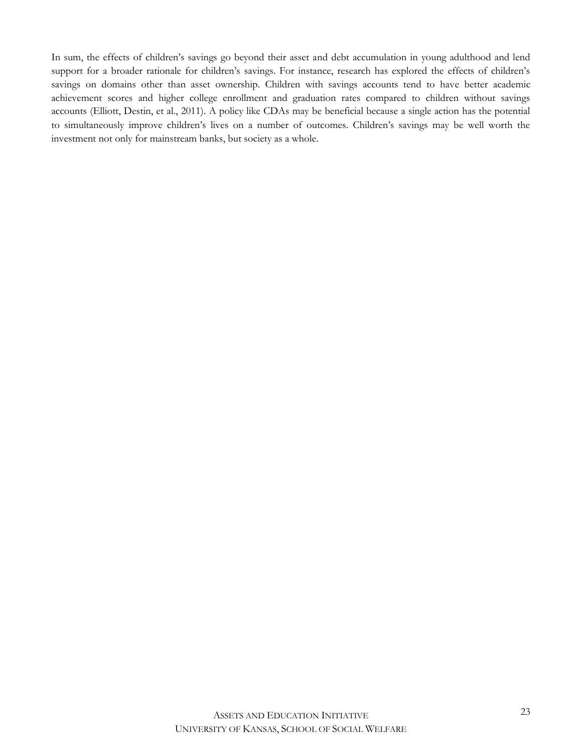In sum, the effects of children's savings go beyond their asset and debt accumulation in young adulthood and lend support for a broader rationale for children's savings. For instance, research has explored the effects of children's savings on domains other than asset ownership. Children with savings accounts tend to have better academic achievement scores and higher college enrollment and graduation rates compared to children without savings accounts (Elliott, Destin, et al., 2011). A policy like CDAs may be beneficial because a single action has the potential to simultaneously improve children's lives on a number of outcomes. Children's savings may be well worth the investment not only for mainstream banks, but society as a whole.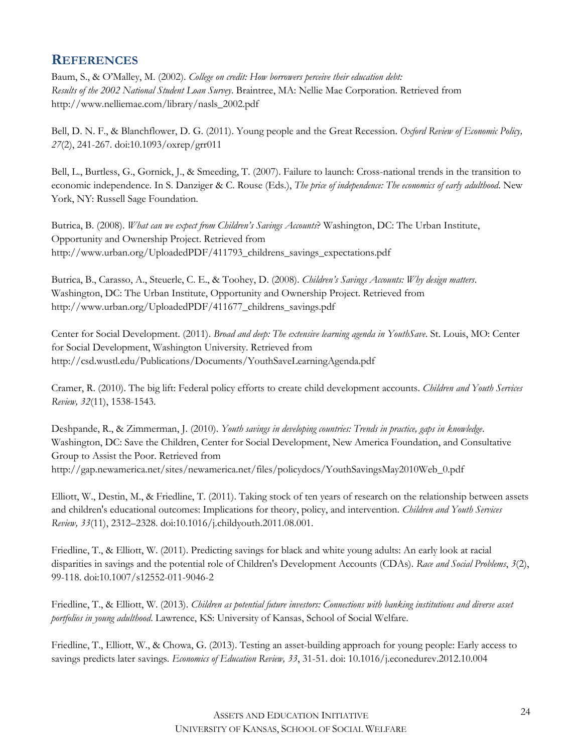#### **REFERENCES**

Baum, S., & O'Malley, M. (2002). *College on credit: How borrowers perceive their education debt: Results of the 2002 National Student Loan Survey*. Braintree, MA: Nellie Mae Corporation. Retrieved from http://www.nelliemae.com/library/nasls\_2002.pdf

Bell, D. N. F., & Blanchflower, D. G. (2011). Young people and the Great Recession. *Oxford Review of Economic Policy, 27*(2), 241-267. doi:10.1093/oxrep/grr011

Bell, L., Burtless, G., Gornick, J., & Smeeding, T. (2007). Failure to launch: Cross-national trends in the transition to economic independence. In S. Danziger & C. Rouse (Eds.), *The price of independence: The economics of early adulthood*. New York, NY: Russell Sage Foundation.

Butrica, B. (2008). *What can we expect from Children's Savings Accounts*? Washington, DC: The Urban Institute, Opportunity and Ownership Project. Retrieved from http://www.urban.org/UploadedPDF/411793\_childrens\_savings\_expectations.pdf

Butrica, B., Carasso, A., Steuerle, C. E., & Toohey, D. (2008). *Children's Savings Accounts: Why design matters*. Washington, DC: The Urban Institute, Opportunity and Ownership Project. Retrieved from http://www.urban.org/UploadedPDF/411677\_childrens\_savings.pdf

Center for Social Development. (2011). *Broad and deep: The extensive learning agenda in YouthSave*. St. Louis, MO: Center for Social Development, Washington University. Retrieved from http://csd.wustl.edu/Publications/Documents/YouthSaveLearningAgenda.pdf

Cramer, R. (2010). The big lift: Federal policy efforts to create child development accounts. *Children and Youth Services Review, 32*(11), 1538-1543.

Deshpande, R., & Zimmerman, J. (2010). *Youth savings in developing countries: Trends in practice, gaps in knowledge*. Washington, DC: Save the Children, Center for Social Development, New America Foundation, and Consultative Group to Assist the Poor. Retrieved from http://gap.newamerica.net/sites/newamerica.net/files/policydocs/YouthSavingsMay2010Web\_0.pdf

Elliott, W., Destin, M., & Friedline, T. (2011). Taking stock of ten years of research on the relationship between assets and children's educational outcomes: Implications for theory, policy, and intervention. *Children and Youth Services Review, 33*(11), 2312–2328. doi:10.1016/j.childyouth.2011.08.001.

Friedline, T., & Elliott, W. (2011). Predicting savings for black and white young adults: An early look at racial disparities in savings and the potential role of Children's Development Accounts (CDAs). *Race and Social Problems*, *3*(2), 99-118. doi:10.1007/s12552-011-9046-2

Friedline, T., & Elliott, W. (2013). *Children as potential future investors: Connections with banking institutions and diverse asset portfolios in young adulthood*. Lawrence, KS: University of Kansas, School of Social Welfare.

Friedline, T., Elliott, W., & Chowa, G. (2013). Testing an asset-building approach for young people: Early access to savings predicts later savings. *Economics of Education Review*, 33, 31-51. doi: [10.1016/j.econedurev.2012.10.004](http://dx.doi.org/10.1016/j.econedurev.2012.10.004)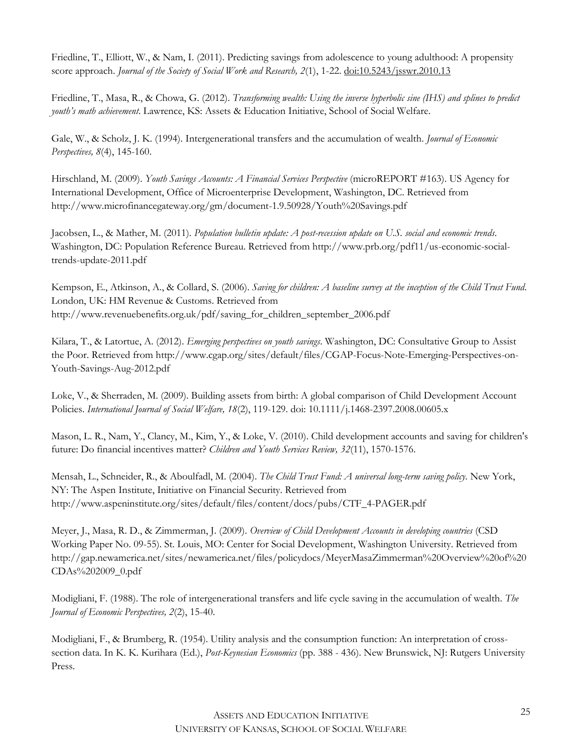Friedline, T., Elliott, W., & Nam, I. (2011). Predicting savings from adolescence to young adulthood: A propensity score approach. *Journal of the Society of Social Work and Research, 2*(1), 1-22. [doi:10.5243/jsswr.2010.13](http://dx.doi.org/10.5243%2Fjsswr.2010.13)

Friedline, T., Masa, R., & Chowa, G. (2012). *Transforming wealth: Using the inverse hyperbolic sine (IHS) and splines to predict youth's math achievement*. Lawrence, KS: Assets & Education Initiative, School of Social Welfare.

Gale, W., & Scholz, J. K. (1994). Intergenerational transfers and the accumulation of wealth. *Journal of Economic Perspectives, 8*(4), 145-160.

Hirschland, M. (2009). *Youth Savings Accounts: A Financial Services Perspective* (microREPORT #163). US Agency for International Development, Office of Microenterprise Development, Washington, DC. Retrieved from http://www.microfinancegateway.org/gm/document-1.9.50928/Youth%20Savings.pdf

Jacobsen, L., & Mather, M. (2011). *Population bulletin update: A post-recession update on U.S. social and economic trends*. Washington, DC: Population Reference Bureau. Retrieved from http://www.prb.org/pdf11/us-economic-socialtrends-update-2011.pdf

Kempson, E., Atkinson, A., & Collard, S. (2006). *Saving for children: A baseline survey at the inception of the Child Trust Fund*. London, UK: HM Revenue & Customs. Retrieved from http://www.revenuebenefits.org.uk/pdf/saving\_for\_children\_september\_2006.pdf

Kilara, T., & Latortue, A. (2012). *Emerging perspectives on youth savings*. Washington, DC: Consultative Group to Assist the Poor. Retrieved from http://www.cgap.org/sites/default/files/CGAP-Focus-Note-Emerging-Perspectives-on-Youth-Savings-Aug-2012.pdf

Loke, V., & Sherraden, M. (2009). Building assets from birth: A global comparison of Child Development Account Policies. *International Journal of Social Welfare, 18*(2), 119-129. doi: 10.1111/j.1468-2397.2008.00605.x

Mason, L. R., Nam, Y., Clancy, M., Kim, Y., & Loke, V. (2010). Child development accounts and saving for children's future: Do financial incentives matter? *Children and Youth Services Review, 32*(11), 1570-1576.

Mensah, L., Schneider, R., & Aboulfadl, M. (2004). *The Child Trust Fund: A universal long-term saving policy*. New York, NY: The Aspen Institute, Initiative on Financial Security. Retrieved from http://www.aspeninstitute.org/sites/default/files/content/docs/pubs/CTF\_4-PAGER.pdf

Meyer, J., Masa, R. D., & Zimmerman, J. (2009). *Overview of Child Development Accounts in developing countries* (CSD Working Paper No. 09-55). St. Louis, MO: Center for Social Development, Washington University. Retrieved from http://gap.newamerica.net/sites/newamerica.net/files/policydocs/MeyerMasaZimmerman%20Overview%20of%20 CDAs%202009\_0.pdf

Modigliani, F. (1988). The role of intergenerational transfers and life cycle saving in the accumulation of wealth. *The Journal of Economic Perspectives, 2*(2), 15-40.

Modigliani, F., & Brumberg, R. (1954). Utility analysis and the consumption function: An interpretation of crosssection data. In K. K. Kurihara (Ed.), *Post-Keynesian Economics* (pp. 388 - 436). New Brunswick, NJ: Rutgers University Press.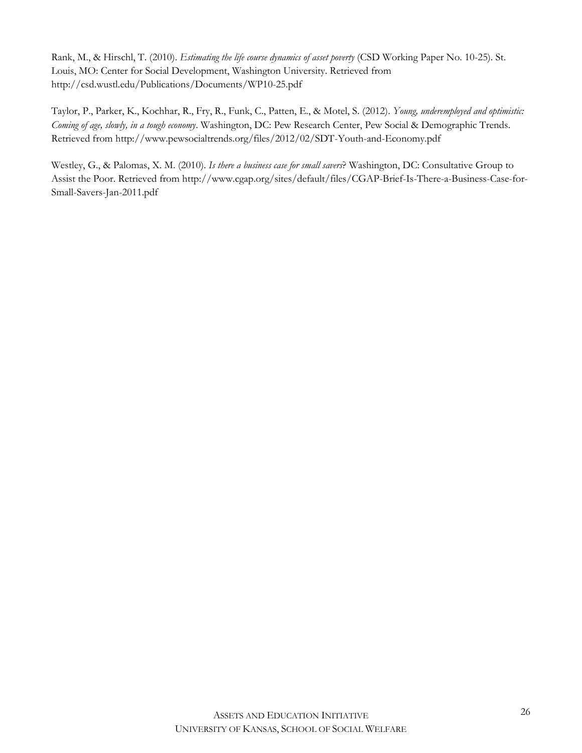Rank, M., & Hirschl, T. (2010). *Estimating the life course dynamics of asset poverty* (CSD Working Paper No. 10-25). St. Louis, MO: Center for Social Development, Washington University. Retrieved from http://csd.wustl.edu/Publications/Documents/WP10-25.pdf

Taylor, P., Parker, K., Kochhar, R., Fry, R., Funk, C., Patten, E., & Motel, S. (2012). *Young, underemployed and optimistic: Coming of age, slowly, in a tough economy*. Washington, DC: Pew Research Center, Pew Social & Demographic Trends. Retrieved from http://www.pewsocialtrends.org/files/2012/02/SDT-Youth-and-Economy.pdf

Westley, G., & Palomas, X. M. (2010). *Is there a business case for small savers*? Washington, DC: Consultative Group to Assist the Poor. Retrieved from http://www.cgap.org/sites/default/files/CGAP-Brief-Is-There-a-Business-Case-for-Small-Savers-Jan-2011.pdf